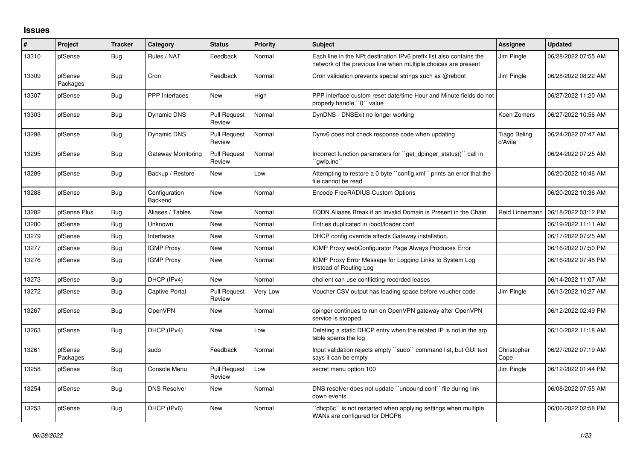## **Issues**

| #     | Project             | <b>Tracker</b> | Category                 | <b>Status</b>                 | <b>Priority</b> | <b>Subject</b>                                                                                                                        | Assignee                       | <b>Updated</b>      |
|-------|---------------------|----------------|--------------------------|-------------------------------|-----------------|---------------------------------------------------------------------------------------------------------------------------------------|--------------------------------|---------------------|
| 13310 | pfSense             | Bug            | Rules / NAT              | Feedback                      | Normal          | Each line in the NPt destination IPv6 prefix list also contains the<br>network of the previous line when multiple choices are present | Jim Pingle                     | 06/28/2022 07:55 AM |
| 13309 | pfSense<br>Packages | Bug            | Cron                     | Feedback                      | Normal          | Cron validation prevents special strings such as @reboot                                                                              | Jim Pingle                     | 06/28/2022 08:22 AM |
| 13307 | pfSense             | Bug            | <b>PPP</b> Interfaces    | New                           | High            | PPP interface custom reset date/time Hour and Minute fields do not<br>properly handle "0" value                                       |                                | 06/27/2022 11:20 AM |
| 13303 | pfSense             | Bug            | Dynamic DNS              | <b>Pull Request</b><br>Review | Normal          | DynDNS - DNSExit no longer working                                                                                                    | Koen Zomers                    | 06/27/2022 10:56 AM |
| 13298 | pfSense             | Bug            | Dynamic DNS              | <b>Pull Request</b><br>Review | Normal          | Dynv6 does not check response code when updating                                                                                      | <b>Tiago Beling</b><br>d'Avila | 06/24/2022 07:47 AM |
| 13295 | pfSense             | Bug            | Gateway Monitoring       | <b>Pull Request</b><br>Review | Normal          | Incorrect function parameters for "get dpinger status()" call in<br>`qwlb.inc``                                                       |                                | 06/24/2022 07:25 AM |
| 13289 | pfSense             | Bug            | Backup / Restore         | <b>New</b>                    | Low             | Attempting to restore a 0 byte "config.xml" prints an error that the<br>file cannot be read                                           |                                | 06/20/2022 10:46 AM |
| 13288 | pfSense             | Bug            | Configuration<br>Backend | New                           | Normal          | Encode FreeRADIUS Custom Options                                                                                                      |                                | 06/20/2022 10:36 AM |
| 13282 | pfSense Plus        | Bug            | Aliases / Tables         | New                           | Normal          | FQDN Aliases Break if an Invalid Domain is Present in the Chain                                                                       | <b>Reid Linnemann</b>          | 06/18/2022 03:12 PM |
| 13280 | pfSense             | Bug            | Unknown                  | <b>New</b>                    | Normal          | Entries duplicated in /boot/loader.conf                                                                                               |                                | 06/19/2022 11:11 AM |
| 13279 | pfSense             | Bug            | Interfaces               | <b>New</b>                    | Normal          | DHCP config override affects Gateway installation.                                                                                    |                                | 06/17/2022 07:25 AM |
| 13277 | pfSense             | Bug            | <b>IGMP Proxy</b>        | New                           | Normal          | IGMP Proxy webConfigurator Page Always Produces Error                                                                                 |                                | 06/16/2022 07:50 PM |
| 13276 | pfSense             | Bug            | <b>IGMP Proxy</b>        | <b>New</b>                    | Normal          | IGMP Proxy Error Message for Logging Links to System Log<br>Instead of Routing Log                                                    |                                | 06/16/2022 07:48 PM |
| 13273 | pfSense             | Bug            | DHCP (IPv4)              | <b>New</b>                    | Normal          | dhclient can use conflicting recorded leases                                                                                          |                                | 06/14/2022 11:07 AM |
| 13272 | pfSense             | Bug            | Captive Portal           | <b>Pull Request</b><br>Review | Very Low        | Voucher CSV output has leading space before voucher code                                                                              | Jim Pingle                     | 06/13/2022 10:27 AM |
| 13267 | pfSense             | Bug            | <b>OpenVPN</b>           | <b>New</b>                    | Normal          | dpinger continues to run on OpenVPN gateway after OpenVPN<br>service is stopped.                                                      |                                | 06/12/2022 02:49 PM |
| 13263 | pfSense             | Bug            | DHCP (IPv4)              | New                           | Low             | Deleting a static DHCP entry when the related IP is not in the arp<br>table spams the log                                             |                                | 06/10/2022 11:18 AM |
| 13261 | pfSense<br>Packages | Bug            | sudo                     | Feedback                      | Normal          | Input validation rejects empty "sudo" command list, but GUI text<br>says it can be empty                                              | Christopher<br>Cope            | 06/27/2022 07:19 AM |
| 13258 | pfSense             | <b>Bug</b>     | Console Menu             | <b>Pull Request</b><br>Review | Low             | secret menu option 100                                                                                                                | Jim Pingle                     | 06/12/2022 01:44 PM |
| 13254 | pfSense             | <b>Bug</b>     | <b>DNS Resolver</b>      | <b>New</b>                    | Normal          | DNS resolver does not update "unbound.conf" file during link<br>down events                                                           |                                | 06/08/2022 07:55 AM |
| 13253 | pfSense             | Bug            | DHCP (IPv6)              | <b>New</b>                    | Normal          | dhcp6c" is not restarted when applying settings when multiple<br>WANs are configured for DHCP6                                        |                                | 06/06/2022 02:58 PM |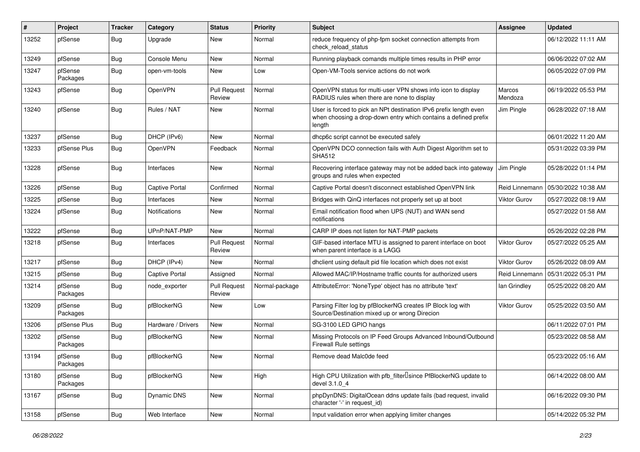| #     | Project             | <b>Tracker</b> | Category              | <b>Status</b>                 | <b>Priority</b> | Subject                                                                                                                                        | <b>Assignee</b>     | <b>Updated</b>      |
|-------|---------------------|----------------|-----------------------|-------------------------------|-----------------|------------------------------------------------------------------------------------------------------------------------------------------------|---------------------|---------------------|
| 13252 | pfSense             | Bug            | Upgrade               | New                           | Normal          | reduce frequency of php-fpm socket connection attempts from<br>check_reload_status                                                             |                     | 06/12/2022 11:11 AM |
| 13249 | pfSense             | <b>Bug</b>     | Console Menu          | New                           | Normal          | Running playback comands multiple times results in PHP error                                                                                   |                     | 06/06/2022 07:02 AM |
| 13247 | pfSense<br>Packages | <b>Bug</b>     | open-vm-tools         | New                           | Low             | Open-VM-Tools service actions do not work                                                                                                      |                     | 06/05/2022 07:09 PM |
| 13243 | pfSense             | <b>Bug</b>     | OpenVPN               | <b>Pull Request</b><br>Review | Normal          | OpenVPN status for multi-user VPN shows info icon to display<br>RADIUS rules when there are none to display                                    | Marcos<br>Mendoza   | 06/19/2022 05:53 PM |
| 13240 | pfSense             | <b>Bug</b>     | Rules / NAT           | New                           | Normal          | User is forced to pick an NPt destination IPv6 prefix length even<br>when choosing a drop-down entry which contains a defined prefix<br>length | Jim Pingle          | 06/28/2022 07:18 AM |
| 13237 | pfSense             | Bug            | DHCP (IPv6)           | New                           | Normal          | dhcp6c script cannot be executed safely                                                                                                        |                     | 06/01/2022 11:20 AM |
| 13233 | pfSense Plus        | Bug            | OpenVPN               | Feedback                      | Normal          | OpenVPN DCO connection fails with Auth Digest Algorithm set to<br><b>SHA512</b>                                                                |                     | 05/31/2022 03:39 PM |
| 13228 | pfSense             | <b>Bug</b>     | Interfaces            | New                           | Normal          | Recovering interface gateway may not be added back into gateway<br>groups and rules when expected                                              | Jim Pingle          | 05/28/2022 01:14 PM |
| 13226 | pfSense             | Bug            | <b>Captive Portal</b> | Confirmed                     | Normal          | Captive Portal doesn't disconnect established OpenVPN link                                                                                     | Reid Linnemann      | 05/30/2022 10:38 AM |
| 13225 | pfSense             | <b>Bug</b>     | Interfaces            | New                           | Normal          | Bridges with QinQ interfaces not properly set up at boot                                                                                       | <b>Viktor Gurov</b> | 05/27/2022 08:19 AM |
| 13224 | pfSense             | <b>Bug</b>     | <b>Notifications</b>  | New                           | Normal          | Email notification flood when UPS (NUT) and WAN send<br>notifications                                                                          |                     | 05/27/2022 01:58 AM |
| 13222 | pfSense             | Bug            | UPnP/NAT-PMP          | New                           | Normal          | CARP IP does not listen for NAT-PMP packets                                                                                                    |                     | 05/26/2022 02:28 PM |
| 13218 | pfSense             | <b>Bug</b>     | Interfaces            | <b>Pull Request</b><br>Review | Normal          | GIF-based interface MTU is assigned to parent interface on boot<br>when parent interface is a LAGG                                             | <b>Viktor Gurov</b> | 05/27/2022 05:25 AM |
| 13217 | pfSense             | <b>Bug</b>     | DHCP (IPv4)           | New                           | Normal          | dhclient using default pid file location which does not exist                                                                                  | <b>Viktor Gurov</b> | 05/26/2022 08:09 AM |
| 13215 | pfSense             | Bug            | <b>Captive Portal</b> | Assigned                      | Normal          | Allowed MAC/IP/Hostname traffic counts for authorized users                                                                                    | Reid Linnemann      | 05/31/2022 05:31 PM |
| 13214 | pfSense<br>Packages | <b>Bug</b>     | node_exporter         | <b>Pull Request</b><br>Review | Normal-package  | AttributeError: 'NoneType' object has no attribute 'text'                                                                                      | lan Grindley        | 05/25/2022 08:20 AM |
| 13209 | pfSense<br>Packages | Bug            | pfBlockerNG           | New                           | Low             | Parsing Filter log by pfBlockerNG creates IP Block log with<br>Source/Destination mixed up or wrong Direcion                                   | Viktor Gurov        | 05/25/2022 03:50 AM |
| 13206 | pfSense Plus        | <b>Bug</b>     | Hardware / Drivers    | New                           | Normal          | SG-3100 LED GPIO hangs                                                                                                                         |                     | 06/11/2022 07:01 PM |
| 13202 | pfSense<br>Packages | Bug            | pfBlockerNG           | New                           | Normal          | Missing Protocols on IP Feed Groups Advanced Inbound/Outbound<br><b>Firewall Rule settings</b>                                                 |                     | 05/23/2022 08:58 AM |
| 13194 | pfSense<br>Packages | Bug            | pfBlockerNG           | New                           | Normal          | Remove dead Malc0de feed                                                                                                                       |                     | 05/23/2022 05:16 AM |
| 13180 | pfSense<br>Packages | <b>Bug</b>     | pfBlockerNG           | New                           | High            | High CPU Utilization with pfb filter Isince PfBlockerNG update to<br>devel 3.1.0 4                                                             |                     | 06/14/2022 08:00 AM |
| 13167 | pfSense             | Bug            | Dynamic DNS           | New                           | Normal          | phpDynDNS: DigitalOcean ddns update fails (bad request, invalid<br>character '-' in request id)                                                |                     | 06/16/2022 09:30 PM |
| 13158 | pfSense             | Bug            | Web Interface         | New                           | Normal          | Input validation error when applying limiter changes                                                                                           |                     | 05/14/2022 05:32 PM |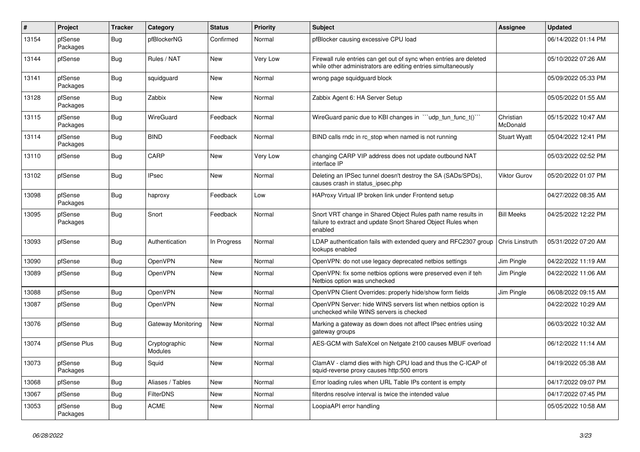| #     | Project             | <b>Tracker</b> | Category                 | <b>Status</b> | <b>Priority</b> | Subject                                                                                                                                 | <b>Assignee</b>       | <b>Updated</b>      |
|-------|---------------------|----------------|--------------------------|---------------|-----------------|-----------------------------------------------------------------------------------------------------------------------------------------|-----------------------|---------------------|
| 13154 | pfSense<br>Packages | Bug            | pfBlockerNG              | Confirmed     | Normal          | pfBlocker causing excessive CPU load                                                                                                    |                       | 06/14/2022 01:14 PM |
| 13144 | pfSense             | <b>Bug</b>     | Rules / NAT              | New           | Very Low        | Firewall rule entries can get out of sync when entries are deleted<br>while other administrators are editing entries simultaneously     |                       | 05/10/2022 07:26 AM |
| 13141 | pfSense<br>Packages | Bug            | squidguard               | New           | Normal          | wrong page squidguard block                                                                                                             |                       | 05/09/2022 05:33 PM |
| 13128 | pfSense<br>Packages | <b>Bug</b>     | Zabbix                   | New           | Normal          | Zabbix Agent 6: HA Server Setup                                                                                                         |                       | 05/05/2022 01:55 AM |
| 13115 | pfSense<br>Packages | Bug            | WireGuard                | Feedback      | Normal          | WireGuard panic due to KBI changes in "'udp tun func t()'"                                                                              | Christian<br>McDonald | 05/15/2022 10:47 AM |
| 13114 | pfSense<br>Packages | Bug            | <b>BIND</b>              | Feedback      | Normal          | BIND calls rndc in rc stop when named is not running                                                                                    | <b>Stuart Wyatt</b>   | 05/04/2022 12:41 PM |
| 13110 | pfSense             | <b>Bug</b>     | CARP                     | New           | Very Low        | changing CARP VIP address does not update outbound NAT<br>interface IP                                                                  |                       | 05/03/2022 02:52 PM |
| 13102 | pfSense             | <b>Bug</b>     | <b>IPsec</b>             | New           | Normal          | Deleting an IPSec tunnel doesn't destroy the SA (SADs/SPDs),<br>causes crash in status_ipsec.php                                        | <b>Viktor Gurov</b>   | 05/20/2022 01:07 PM |
| 13098 | pfSense<br>Packages | <b>Bug</b>     | haproxy                  | Feedback      | Low             | HAProxy Virtual IP broken link under Frontend setup                                                                                     |                       | 04/27/2022 08:35 AM |
| 13095 | pfSense<br>Packages | Bug            | Snort                    | Feedback      | Normal          | Snort VRT change in Shared Object Rules path name results in<br>failure to extract and update Snort Shared Object Rules when<br>enabled | <b>Bill Meeks</b>     | 04/25/2022 12:22 PM |
| 13093 | pfSense             | Bug            | Authentication           | In Progress   | Normal          | LDAP authentication fails with extended query and RFC2307 group<br>lookups enabled                                                      | Chris Linstruth       | 05/31/2022 07:20 AM |
| 13090 | pfSense             | <b>Bug</b>     | OpenVPN                  | <b>New</b>    | Normal          | OpenVPN: do not use legacy deprecated netbios settings                                                                                  | Jim Pingle            | 04/22/2022 11:19 AM |
| 13089 | pfSense             | Bug            | OpenVPN                  | New           | Normal          | OpenVPN: fix some netbios options were preserved even if teh<br>Netbios option was unchecked                                            | Jim Pingle            | 04/22/2022 11:06 AM |
| 13088 | pfSense             | Bug            | OpenVPN                  | New           | Normal          | OpenVPN Client Overrides: properly hide/show form fields                                                                                | Jim Pingle            | 06/08/2022 09:15 AM |
| 13087 | pfSense             | <b>Bug</b>     | <b>OpenVPN</b>           | New           | Normal          | OpenVPN Server: hide WINS servers list when netbios option is<br>unchecked while WINS servers is checked                                |                       | 04/22/2022 10:29 AM |
| 13076 | pfSense             | <b>Bug</b>     | Gateway Monitoring       | New           | Normal          | Marking a gateway as down does not affect IPsec entries using<br>gateway groups                                                         |                       | 06/03/2022 10:32 AM |
| 13074 | pfSense Plus        | <b>Bug</b>     | Cryptographic<br>Modules | New           | Normal          | AES-GCM with SafeXcel on Netgate 2100 causes MBUF overload                                                                              |                       | 06/12/2022 11:14 AM |
| 13073 | pfSense<br>Packages | I Bug          | Squid                    | <b>New</b>    | Normal          | ClamAV - clamd dies with high CPU load and thus the C-ICAP of<br>squid-reverse proxy causes http:500 errors                             |                       | 04/19/2022 05:38 AM |
| 13068 | pfSense             | <b>Bug</b>     | Aliases / Tables         | New           | Normal          | Error loading rules when URL Table IPs content is empty                                                                                 |                       | 04/17/2022 09:07 PM |
| 13067 | pfSense             | <b>Bug</b>     | <b>FilterDNS</b>         | New           | Normal          | filterdns resolve interval is twice the intended value                                                                                  |                       | 04/17/2022 07:45 PM |
| 13053 | pfSense<br>Packages | <b>Bug</b>     | <b>ACME</b>              | New           | Normal          | LoopiaAPI error handling                                                                                                                |                       | 05/05/2022 10:58 AM |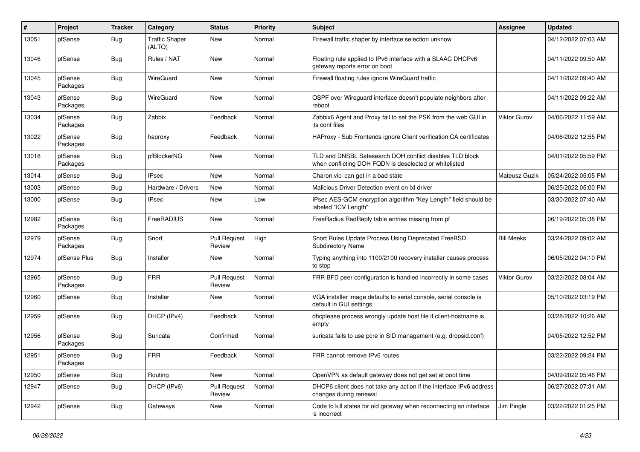| #     | Project             | <b>Tracker</b> | Category                        | <b>Status</b>                 | <b>Priority</b> | <b>Subject</b>                                                                                                     | <b>Assignee</b>     | <b>Updated</b>      |
|-------|---------------------|----------------|---------------------------------|-------------------------------|-----------------|--------------------------------------------------------------------------------------------------------------------|---------------------|---------------------|
| 13051 | pfSense             | Bug            | <b>Traffic Shaper</b><br>(ALTQ) | New                           | Normal          | Firewall traffic shaper by interface selection unknow                                                              |                     | 04/12/2022 07:03 AM |
| 13046 | pfSense             | <b>Bug</b>     | Rules / NAT                     | New                           | Normal          | Floating rule applied to IPv6 interface with a SLAAC DHCPv6<br>gateway reports error on boot                       |                     | 04/11/2022 09:50 AM |
| 13045 | pfSense<br>Packages | <b>Bug</b>     | WireGuard                       | <b>New</b>                    | Normal          | Firewall floating rules ignore WireGuard traffic                                                                   |                     | 04/11/2022 09:40 AM |
| 13043 | pfSense<br>Packages | <b>Bug</b>     | WireGuard                       | New                           | Normal          | OSPF over Wireguard interface doesn't populate neighbors after<br>reboot                                           |                     | 04/11/2022 09:22 AM |
| 13034 | pfSense<br>Packages | <b>Bug</b>     | Zabbix                          | Feedback                      | Normal          | Zabbix6 Agent and Proxy fail to set the PSK from the web GUI in<br>its conf files                                  | <b>Viktor Gurov</b> | 04/06/2022 11:59 AM |
| 13022 | pfSense<br>Packages | <b>Bug</b>     | haproxy                         | Feedback                      | Normal          | HAProxy - Sub Frontends ignore Client verification CA certificates                                                 |                     | 04/06/2022 12:55 PM |
| 13018 | pfSense<br>Packages | <b>Bug</b>     | pfBlockerNG                     | <b>New</b>                    | Normal          | TLD and DNSBL Safesearch DOH conflict disables TLD block<br>when conflicting DOH FQDN is deselected or whitelisted |                     | 04/01/2022 05:59 PM |
| 13014 | pfSense             | <b>Bug</b>     | <b>IPsec</b>                    | <b>New</b>                    | Normal          | Charon.vici can get in a bad state                                                                                 | Mateusz Guzik       | 05/24/2022 05:05 PM |
| 13003 | pfSense             | <b>Bug</b>     | Hardware / Drivers              | <b>New</b>                    | Normal          | Malicious Driver Detection event on ixl driver                                                                     |                     | 06/25/2022 05:00 PM |
| 13000 | pfSense             | <b>Bug</b>     | <b>IPsec</b>                    | New                           | Low             | IPsec AES-GCM encryption algorithm "Key Length" field should be<br>labeled "ICV Length"                            |                     | 03/30/2022 07:40 AM |
| 12982 | pfSense<br>Packages | <b>Bug</b>     | FreeRADIUS                      | <b>New</b>                    | Normal          | FreeRadius RadReply table entries missing from pf                                                                  |                     | 06/19/2022 05:38 PM |
| 12979 | pfSense<br>Packages | <b>Bug</b>     | Snort                           | <b>Pull Request</b><br>Review | High            | Snort Rules Update Process Using Deprecated FreeBSD<br><b>Subdirectory Name</b>                                    | <b>Bill Meeks</b>   | 03/24/2022 09:02 AM |
| 12974 | pfSense Plus        | Bug            | Installer                       | New                           | Normal          | Typing anything into 1100/2100 recovery installer causes process<br>to stop                                        |                     | 06/05/2022 04:10 PM |
| 12965 | pfSense<br>Packages | <b>Bug</b>     | <b>FRR</b>                      | <b>Pull Request</b><br>Review | Normal          | FRR BFD peer configuration is handled incorrectly in some cases                                                    | Viktor Gurov        | 03/22/2022 08:04 AM |
| 12960 | pfSense             | Bug            | Installer                       | New                           | Normal          | VGA installer image defaults to serial console, serial console is<br>default in GUI settings                       |                     | 05/10/2022 03:19 PM |
| 12959 | pfSense             | <b>Bug</b>     | DHCP (IPv4)                     | Feedback                      | Normal          | dhcplease process wrongly update host file if client-hostname is<br>empty                                          |                     | 03/28/2022 10:26 AM |
| 12956 | pfSense<br>Packages | <b>Bug</b>     | Suricata                        | Confirmed                     | Normal          | suricata fails to use pcre in SID management (e.g. dropsid.conf)                                                   |                     | 04/05/2022 12:52 PM |
| 12951 | pfSense<br>Packages | <b>Bug</b>     | <b>FRR</b>                      | Feedback                      | Normal          | FRR cannot remove IPv6 routes                                                                                      |                     | 03/22/2022 09:24 PM |
| 12950 | pfSense             | <b>Bug</b>     | Routing                         | New                           | Normal          | OpenVPN as default gateway does not get set at boot time                                                           |                     | 04/09/2022 05:46 PM |
| 12947 | pfSense             | <b>Bug</b>     | DHCP (IPv6)                     | <b>Pull Request</b><br>Review | Normal          | DHCP6 client does not take any action if the interface IPv6 address<br>changes during renewal                      |                     | 06/27/2022 07:31 AM |
| 12942 | pfSense             | Bug            | Gateways                        | New                           | Normal          | Code to kill states for old gateway when reconnecting an interface<br>is incorrect                                 | Jim Pingle          | 03/22/2022 01:25 PM |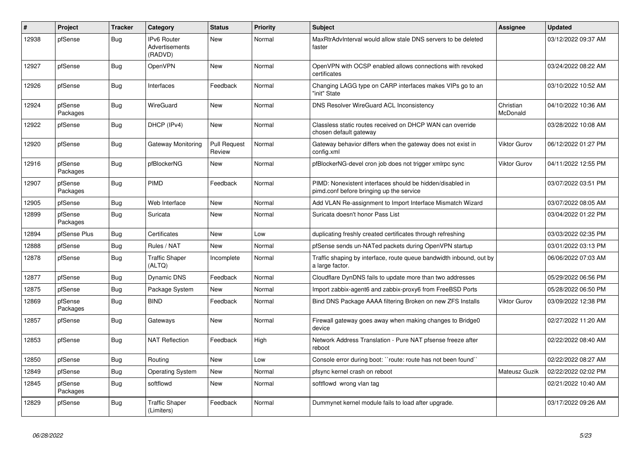| $\vert$ # | Project             | <b>Tracker</b> | Category                                 | <b>Status</b>                 | <b>Priority</b> | <b>Subject</b>                                                                                        | Assignee              | <b>Updated</b>      |
|-----------|---------------------|----------------|------------------------------------------|-------------------------------|-----------------|-------------------------------------------------------------------------------------------------------|-----------------------|---------------------|
| 12938     | pfSense             | Bug            | IPv6 Router<br>Advertisements<br>(RADVD) | <b>New</b>                    | Normal          | MaxRtrAdvInterval would allow stale DNS servers to be deleted<br>faster                               |                       | 03/12/2022 09:37 AM |
| 12927     | pfSense             | Bug            | <b>OpenVPN</b>                           | <b>New</b>                    | Normal          | OpenVPN with OCSP enabled allows connections with revoked<br>certificates                             |                       | 03/24/2022 08:22 AM |
| 12926     | pfSense             | <b>Bug</b>     | Interfaces                               | Feedback                      | Normal          | Changing LAGG type on CARP interfaces makes VIPs go to an<br>'init" State                             |                       | 03/10/2022 10:52 AM |
| 12924     | pfSense<br>Packages | Bug            | WireGuard                                | <b>New</b>                    | Normal          | DNS Resolver WireGuard ACL Inconsistency                                                              | Christian<br>McDonald | 04/10/2022 10:36 AM |
| 12922     | pfSense             | <b>Bug</b>     | DHCP (IPv4)                              | New                           | Normal          | Classless static routes received on DHCP WAN can override<br>chosen default gateway                   |                       | 03/28/2022 10:08 AM |
| 12920     | pfSense             | Bug            | Gateway Monitoring                       | <b>Pull Request</b><br>Review | Normal          | Gateway behavior differs when the gateway does not exist in<br>config.xml                             | <b>Viktor Gurov</b>   | 06/12/2022 01:27 PM |
| 12916     | pfSense<br>Packages | <b>Bug</b>     | pfBlockerNG                              | New                           | Normal          | pfBlockerNG-devel cron job does not trigger xmlrpc sync                                               | <b>Viktor Gurov</b>   | 04/11/2022 12:55 PM |
| 12907     | pfSense<br>Packages | <b>Bug</b>     | PIMD                                     | Feedback                      | Normal          | PIMD: Nonexistent interfaces should be hidden/disabled in<br>pimd.conf before bringing up the service |                       | 03/07/2022 03:51 PM |
| 12905     | pfSense             | Bug            | Web Interface                            | <b>New</b>                    | Normal          | Add VLAN Re-assignment to Import Interface Mismatch Wizard                                            |                       | 03/07/2022 08:05 AM |
| 12899     | pfSense<br>Packages | <b>Bug</b>     | Suricata                                 | New                           | Normal          | Suricata doesn't honor Pass List                                                                      |                       | 03/04/2022 01:22 PM |
| 12894     | pfSense Plus        | Bug            | Certificates                             | New                           | Low             | duplicating freshly created certificates through refreshing                                           |                       | 03/03/2022 02:35 PM |
| 12888     | pfSense             | <b>Bug</b>     | Rules / NAT                              | <b>New</b>                    | Normal          | pfSense sends un-NATed packets during OpenVPN startup                                                 |                       | 03/01/2022 03:13 PM |
| 12878     | pfSense             | <b>Bug</b>     | <b>Traffic Shaper</b><br>(ALTQ)          | Incomplete                    | Normal          | Traffic shaping by interface, route queue bandwidth inbound, out by<br>a large factor.                |                       | 06/06/2022 07:03 AM |
| 12877     | pfSense             | <b>Bug</b>     | <b>Dynamic DNS</b>                       | Feedback                      | Normal          | Cloudflare DynDNS fails to update more than two addresses                                             |                       | 05/29/2022 06:56 PM |
| 12875     | pfSense             | <b>Bug</b>     | Package System                           | <b>New</b>                    | Normal          | Import zabbix-agent6 and zabbix-proxy6 from FreeBSD Ports                                             |                       | 05/28/2022 06:50 PM |
| 12869     | pfSense<br>Packages | Bug            | <b>BIND</b>                              | Feedback                      | Normal          | Bind DNS Package AAAA filtering Broken on new ZFS Installs                                            | Viktor Gurov          | 03/09/2022 12:38 PM |
| 12857     | pfSense             | Bug            | Gateways                                 | <b>New</b>                    | Normal          | Firewall gateway goes away when making changes to Bridge0<br>device                                   |                       | 02/27/2022 11:20 AM |
| 12853     | pfSense             | <b>Bug</b>     | <b>NAT Reflection</b>                    | Feedback                      | High            | Network Address Translation - Pure NAT pfsense freeze after<br>reboot                                 |                       | 02/22/2022 08:40 AM |
| 12850     | pfSense             | <b>Bug</b>     | Routing                                  | <b>New</b>                    | Low             | Console error during boot: "route: route has not been found"                                          |                       | 02/22/2022 08:27 AM |
| 12849     | pfSense             | Bug            | <b>Operating System</b>                  | New                           | Normal          | pfsync kernel crash on reboot                                                                         | Mateusz Guzik         | 02/22/2022 02:02 PM |
| 12845     | pfSense<br>Packages | Bug            | softflowd                                | New                           | Normal          | softflowd wrong vlan tag                                                                              |                       | 02/21/2022 10:40 AM |
| 12829     | pfSense             | Bug            | <b>Traffic Shaper</b><br>(Limiters)      | Feedback                      | Normal          | Dummynet kernel module fails to load after upgrade.                                                   |                       | 03/17/2022 09:26 AM |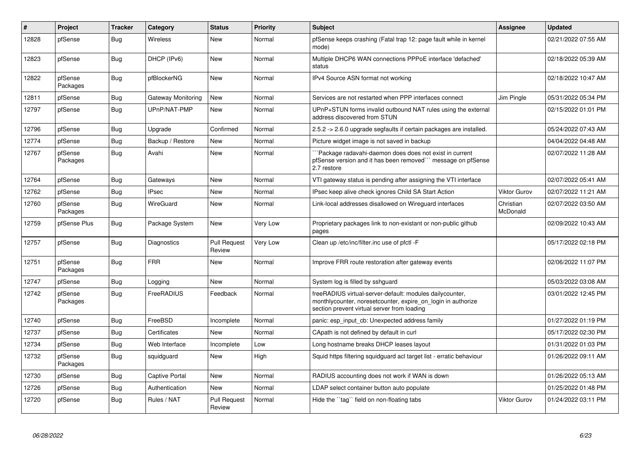| $\#$  | Project             | <b>Tracker</b> | Category              | <b>Status</b>                 | <b>Priority</b> | <b>Subject</b>                                                                                                                                                           | <b>Assignee</b>       | <b>Updated</b>      |
|-------|---------------------|----------------|-----------------------|-------------------------------|-----------------|--------------------------------------------------------------------------------------------------------------------------------------------------------------------------|-----------------------|---------------------|
| 12828 | pfSense             | <b>Bug</b>     | <b>Wireless</b>       | <b>New</b>                    | Normal          | pfSense keeps crashing (Fatal trap 12: page fault while in kernel<br>mode)                                                                                               |                       | 02/21/2022 07:55 AM |
| 12823 | pfSense             | Bug            | DHCP (IPv6)           | <b>New</b>                    | Normal          | Multiple DHCP6 WAN connections PPPoE interface 'defached'<br>status                                                                                                      |                       | 02/18/2022 05:39 AM |
| 12822 | pfSense<br>Packages | Bug            | pfBlockerNG           | <b>New</b>                    | Normal          | IPv4 Source ASN format not working                                                                                                                                       |                       | 02/18/2022 10:47 AM |
| 12811 | pfSense             | <b>Bug</b>     | Gateway Monitoring    | <b>New</b>                    | Normal          | Services are not restarted when PPP interfaces connect                                                                                                                   | Jim Pingle            | 05/31/2022 05:34 PM |
| 12797 | pfSense             | <b>Bug</b>     | UPnP/NAT-PMP          | <b>New</b>                    | Normal          | UPnP+STUN forms invalid outbound NAT rules using the external<br>address discovered from STUN                                                                            |                       | 02/15/2022 01:01 PM |
| 12796 | pfSense             | Bug            | Upgrade               | Confirmed                     | Normal          | 2.5.2 -> 2.6.0 upgrade segfaults if certain packages are installed.                                                                                                      |                       | 05/24/2022 07:43 AM |
| 12774 | pfSense             | <b>Bug</b>     | Backup / Restore      | <b>New</b>                    | Normal          | Picture widget image is not saved in backup                                                                                                                              |                       | 04/04/2022 04:48 AM |
| 12767 | pfSense<br>Packages | Bug            | Avahi                 | New                           | Normal          | Package radavahi-daemon does does not exist in current<br>pfSense version and it has been removed" message on pfSense<br>2.7 restore                                     |                       | 02/07/2022 11:28 AM |
| 12764 | pfSense             | Bug            | Gateways              | New                           | Normal          | VTI gateway status is pending after assigning the VTI interface                                                                                                          |                       | 02/07/2022 05:41 AM |
| 12762 | pfSense             | Bug            | <b>IPsec</b>          | <b>New</b>                    | Normal          | IPsec keep alive check ignores Child SA Start Action                                                                                                                     | <b>Viktor Gurov</b>   | 02/07/2022 11:21 AM |
| 12760 | pfSense<br>Packages | Bug            | <b>WireGuard</b>      | New                           | Normal          | Link-local addresses disallowed on Wireguard interfaces                                                                                                                  | Christian<br>McDonald | 02/07/2022 03:50 AM |
| 12759 | pfSense Plus        | <b>Bug</b>     | Package System        | <b>New</b>                    | Very Low        | Proprietary packages link to non-existant or non-public github<br>pages                                                                                                  |                       | 02/09/2022 10:43 AM |
| 12757 | pfSense             | Bug            | Diagnostics           | <b>Pull Request</b><br>Review | Very Low        | Clean up /etc/inc/filter.inc use of pfctl -F                                                                                                                             |                       | 05/17/2022 02:18 PM |
| 12751 | pfSense<br>Packages | Bug            | <b>FRR</b>            | New                           | Normal          | Improve FRR route restoration after gateway events                                                                                                                       |                       | 02/06/2022 11:07 PM |
| 12747 | pfSense             | <b>Bug</b>     | Logging               | New                           | Normal          | System log is filled by sshguard                                                                                                                                         |                       | 05/03/2022 03:08 AM |
| 12742 | pfSense<br>Packages | Bug            | FreeRADIUS            | Feedback                      | Normal          | freeRADIUS virtual-server-default: modules dailycounter,<br>monthlycounter, noreset counter, expire on login in authorize<br>section prevent virtual server from loading |                       | 03/01/2022 12:45 PM |
| 12740 | pfSense             | Bug            | FreeBSD               | Incomplete                    | Normal          | panic: esp input cb: Unexpected address family                                                                                                                           |                       | 01/27/2022 01:19 PM |
| 12737 | pfSense             | <b>Bug</b>     | Certificates          | <b>New</b>                    | Normal          | CApath is not defined by default in curl                                                                                                                                 |                       | 05/17/2022 02:30 PM |
| 12734 | pfSense             | <b>Bug</b>     | Web Interface         | Incomplete                    | Low             | Long hostname breaks DHCP leases layout                                                                                                                                  |                       | 01/31/2022 01:03 PM |
| 12732 | pfSense<br>Packages | <b>Bug</b>     | squidguard            | New                           | High            | Squid https filtering squidguard acl target list - erratic behaviour                                                                                                     |                       | 01/26/2022 09:11 AM |
| 12730 | pfSense             | Bug            | <b>Captive Portal</b> | New                           | Normal          | RADIUS accounting does not work if WAN is down                                                                                                                           |                       | 01/26/2022 05:13 AM |
| 12726 | pfSense             | Bug            | Authentication        | New                           | Normal          | LDAP select container button auto populate                                                                                                                               |                       | 01/25/2022 01:48 PM |
| 12720 | pfSense             | Bug            | Rules / NAT           | <b>Pull Request</b><br>Review | Normal          | Hide the "tag" field on non-floating tabs                                                                                                                                | <b>Viktor Gurov</b>   | 01/24/2022 03:11 PM |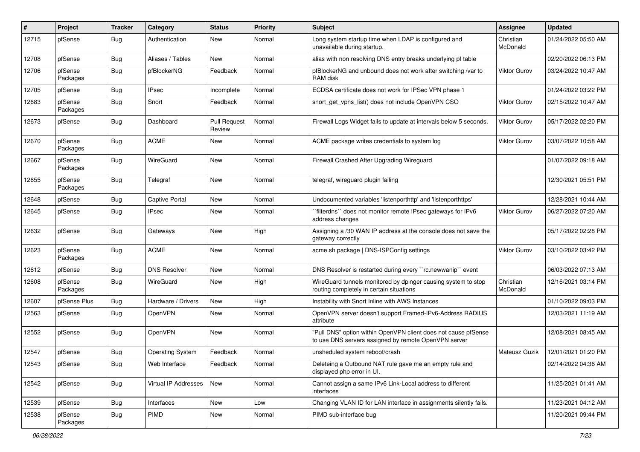| #     | Project             | <b>Tracker</b> | Category                | <b>Status</b>                 | <b>Priority</b> | Subject                                                                                                                | <b>Assignee</b>       | <b>Updated</b>      |
|-------|---------------------|----------------|-------------------------|-------------------------------|-----------------|------------------------------------------------------------------------------------------------------------------------|-----------------------|---------------------|
| 12715 | pfSense             | Bug            | Authentication          | New                           | Normal          | Long system startup time when LDAP is configured and<br>unavailable during startup.                                    | Christian<br>McDonald | 01/24/2022 05:50 AM |
| 12708 | pfSense             | Bug            | Aliases / Tables        | New                           | Normal          | alias with non resolving DNS entry breaks underlying pf table                                                          |                       | 02/20/2022 06:13 PM |
| 12706 | pfSense<br>Packages | Bug            | pfBlockerNG             | Feedback                      | Normal          | pfBlockerNG and unbound does not work after switching /var to<br>RAM disk                                              | <b>Viktor Gurov</b>   | 03/24/2022 10:47 AM |
| 12705 | pfSense             | Bug            | <b>IPsec</b>            | Incomplete                    | Normal          | ECDSA certificate does not work for IPSec VPN phase 1                                                                  |                       | 01/24/2022 03:22 PM |
| 12683 | pfSense<br>Packages | Bug            | Snort                   | Feedback                      | Normal          | snort get vpns list() does not include OpenVPN CSO                                                                     | <b>Viktor Gurov</b>   | 02/15/2022 10:47 AM |
| 12673 | pfSense             | Bug            | Dashboard               | <b>Pull Request</b><br>Review | Normal          | Firewall Logs Widget fails to update at intervals below 5 seconds.                                                     | Viktor Gurov          | 05/17/2022 02:20 PM |
| 12670 | pfSense<br>Packages | Bug            | <b>ACME</b>             | New                           | Normal          | ACME package writes credentials to system log                                                                          | <b>Viktor Gurov</b>   | 03/07/2022 10:58 AM |
| 12667 | pfSense<br>Packages | <b>Bug</b>     | WireGuard               | <b>New</b>                    | Normal          | Firewall Crashed After Upgrading Wireguard                                                                             |                       | 01/07/2022 09:18 AM |
| 12655 | pfSense<br>Packages | Bug            | Telegraf                | <b>New</b>                    | Normal          | telegraf, wireguard plugin failing                                                                                     |                       | 12/30/2021 05:51 PM |
| 12648 | pfSense             | Bug            | <b>Captive Portal</b>   | New                           | Normal          | Undocumented variables 'listenporthttp' and 'listenporthttps'                                                          |                       | 12/28/2021 10:44 AM |
| 12645 | pfSense             | <b>Bug</b>     | <b>IPsec</b>            | New                           | Normal          | `filterdns`` does not monitor remote IPsec gateways for IPv6<br>address changes                                        | <b>Viktor Gurov</b>   | 06/27/2022 07:20 AM |
| 12632 | pfSense             | <b>Bug</b>     | Gateways                | New                           | High            | Assigning a /30 WAN IP address at the console does not save the<br>gateway correctly                                   |                       | 05/17/2022 02:28 PM |
| 12623 | pfSense<br>Packages | <b>Bug</b>     | <b>ACME</b>             | <b>New</b>                    | Normal          | acme.sh package   DNS-ISPConfig settings                                                                               | Viktor Gurov          | 03/10/2022 03:42 PM |
| 12612 | pfSense             | Bug            | <b>DNS Resolver</b>     | <b>New</b>                    | Normal          | DNS Resolver is restarted during every "rc.newwanip" event                                                             |                       | 06/03/2022 07:13 AM |
| 12608 | pfSense<br>Packages | Bug            | WireGuard               | New                           | High            | WireGuard tunnels monitored by dpinger causing system to stop<br>routing completely in certain situations              | Christian<br>McDonald | 12/16/2021 03:14 PM |
| 12607 | pfSense Plus        | <b>Bug</b>     | Hardware / Drivers      | New                           | High            | Instability with Snort Inline with AWS Instances                                                                       |                       | 01/10/2022 09:03 PM |
| 12563 | pfSense             | <b>Bug</b>     | OpenVPN                 | New                           | Normal          | OpenVPN server doesn't support Framed-IPv6-Address RADIUS<br>attribute                                                 |                       | 12/03/2021 11:19 AM |
| 12552 | pfSense             | Bug            | OpenVPN                 | New                           | Normal          | "Pull DNS" option within OpenVPN client does not cause pfSense<br>to use DNS servers assigned by remote OpenVPN server |                       | 12/08/2021 08:45 AM |
| 12547 | pfSense             | Bug            | <b>Operating System</b> | Feedback                      | Normal          | unsheduled system reboot/crash                                                                                         | Mateusz Guzik         | 12/01/2021 01:20 PM |
| 12543 | pfSense             | Bug            | Web Interface           | Feedback                      | Normal          | Deleteing a Outbound NAT rule gave me an empty rule and<br>displayed php error in UI.                                  |                       | 02/14/2022 04:36 AM |
| 12542 | pfSense             | Bug            | Virtual IP Addresses    | New                           | Normal          | Cannot assign a same IPv6 Link-Local address to different<br>interfaces                                                |                       | 11/25/2021 01:41 AM |
| 12539 | pfSense             | Bug            | Interfaces              | New                           | Low             | Changing VLAN ID for LAN interface in assignments silently fails.                                                      |                       | 11/23/2021 04:12 AM |
| 12538 | pfSense<br>Packages | <b>Bug</b>     | PIMD                    | New                           | Normal          | PIMD sub-interface bug                                                                                                 |                       | 11/20/2021 09:44 PM |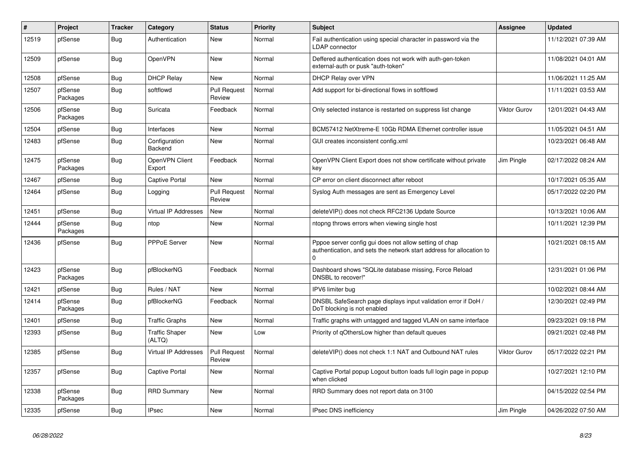| #     | Project             | <b>Tracker</b> | Category                        | <b>Status</b>                 | <b>Priority</b> | <b>Subject</b>                                                                                                                             | <b>Assignee</b>     | <b>Updated</b>      |
|-------|---------------------|----------------|---------------------------------|-------------------------------|-----------------|--------------------------------------------------------------------------------------------------------------------------------------------|---------------------|---------------------|
| 12519 | pfSense             | <b>Bug</b>     | Authentication                  | <b>New</b>                    | Normal          | Fail authentication using special character in password via the<br>LDAP connector                                                          |                     | 11/12/2021 07:39 AM |
| 12509 | pfSense             | Bug            | <b>OpenVPN</b>                  | <b>New</b>                    | Normal          | Deffered authentication does not work with auth-gen-token<br>external-auth or pusk "auth-token"                                            |                     | 11/08/2021 04:01 AM |
| 12508 | pfSense             | <b>Bug</b>     | <b>DHCP Relay</b>               | <b>New</b>                    | Normal          | DHCP Relay over VPN                                                                                                                        |                     | 11/06/2021 11:25 AM |
| 12507 | pfSense<br>Packages | <b>Bug</b>     | softflowd                       | <b>Pull Request</b><br>Review | Normal          | Add support for bi-directional flows in softflowd                                                                                          |                     | 11/11/2021 03:53 AM |
| 12506 | pfSense<br>Packages | Bug            | Suricata                        | Feedback                      | Normal          | Only selected instance is restarted on suppress list change                                                                                | <b>Viktor Gurov</b> | 12/01/2021 04:43 AM |
| 12504 | pfSense             | <b>Bug</b>     | Interfaces                      | <b>New</b>                    | Normal          | BCM57412 NetXtreme-E 10Gb RDMA Ethernet controller issue                                                                                   |                     | 11/05/2021 04:51 AM |
| 12483 | pfSense             | Bug            | Configuration<br>Backend        | New                           | Normal          | GUI creates inconsistent config.xml                                                                                                        |                     | 10/23/2021 06:48 AM |
| 12475 | pfSense<br>Packages | Bug            | OpenVPN Client<br>Export        | Feedback                      | Normal          | OpenVPN Client Export does not show certificate without private<br>key                                                                     | Jim Pingle          | 02/17/2022 08:24 AM |
| 12467 | pfSense             | <b>Bug</b>     | <b>Captive Portal</b>           | <b>New</b>                    | Normal          | CP error on client disconnect after reboot                                                                                                 |                     | 10/17/2021 05:35 AM |
| 12464 | pfSense             | <b>Bug</b>     | Logging                         | <b>Pull Request</b><br>Review | Normal          | Syslog Auth messages are sent as Emergency Level                                                                                           |                     | 05/17/2022 02:20 PM |
| 12451 | pfSense             | <b>Bug</b>     | <b>Virtual IP Addresses</b>     | New                           | Normal          | deleteVIP() does not check RFC2136 Update Source                                                                                           |                     | 10/13/2021 10:06 AM |
| 12444 | pfSense<br>Packages | Bug            | ntop                            | <b>New</b>                    | Normal          | ntopng throws errors when viewing single host                                                                                              |                     | 10/11/2021 12:39 PM |
| 12436 | pfSense             | Bug            | PPPoE Server                    | <b>New</b>                    | Normal          | Pppoe server config gui does not allow setting of chap<br>authentication, and sets the network start address for allocation to<br>$\Omega$ |                     | 10/21/2021 08:15 AM |
| 12423 | pfSense<br>Packages | <b>Bug</b>     | pfBlockerNG                     | Feedback                      | Normal          | Dashboard shows "SQLite database missing, Force Reload<br>DNSBL to recover!"                                                               |                     | 12/31/2021 01:06 PM |
| 12421 | pfSense             | Bug            | Rules / NAT                     | <b>New</b>                    | Normal          | IPV6 limiter bug                                                                                                                           |                     | 10/02/2021 08:44 AM |
| 12414 | pfSense<br>Packages | Bug            | pfBlockerNG                     | Feedback                      | Normal          | DNSBL SafeSearch page displays input validation error if DoH /<br>DoT blocking is not enabled                                              |                     | 12/30/2021 02:49 PM |
| 12401 | pfSense             | <b>Bug</b>     | <b>Traffic Graphs</b>           | <b>New</b>                    | Normal          | Traffic graphs with untagged and tagged VLAN on same interface                                                                             |                     | 09/23/2021 09:18 PM |
| 12393 | pfSense             | <b>Bug</b>     | <b>Traffic Shaper</b><br>(ALTQ) | New                           | Low             | Priority of gOthersLow higher than default queues                                                                                          |                     | 09/21/2021 02:48 PM |
| 12385 | pfSense             | Bug            | Virtual IP Addresses            | <b>Pull Request</b><br>Review | Normal          | deleteVIP() does not check 1:1 NAT and Outbound NAT rules                                                                                  | <b>Viktor Gurov</b> | 05/17/2022 02:21 PM |
| 12357 | pfSense             | <b>Bug</b>     | <b>Captive Portal</b>           | <b>New</b>                    | Normal          | Captive Portal popup Logout button loads full login page in popup<br>when clicked                                                          |                     | 10/27/2021 12:10 PM |
| 12338 | pfSense<br>Packages | Bug            | <b>RRD Summary</b>              | New                           | Normal          | RRD Summary does not report data on 3100                                                                                                   |                     | 04/15/2022 02:54 PM |
| 12335 | pfSense             | Bug            | <b>IPsec</b>                    | <b>New</b>                    | Normal          | IPsec DNS inefficiency                                                                                                                     | Jim Pingle          | 04/26/2022 07:50 AM |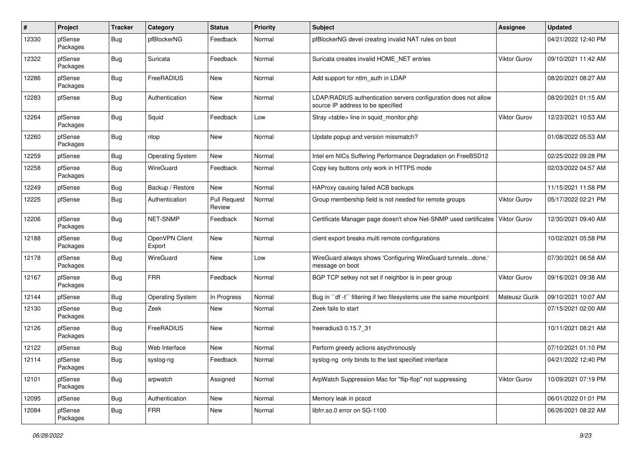| $\pmb{\#}$ | Project             | <b>Tracker</b> | Category                 | <b>Status</b>                 | <b>Priority</b> | Subject                                                                                              | <b>Assignee</b>     | <b>Updated</b>      |
|------------|---------------------|----------------|--------------------------|-------------------------------|-----------------|------------------------------------------------------------------------------------------------------|---------------------|---------------------|
| 12330      | pfSense<br>Packages | Bug            | pfBlockerNG              | Feedback                      | Normal          | pfBlockerNG devel creating invalid NAT rules on boot                                                 |                     | 04/21/2022 12:40 PM |
| 12322      | pfSense<br>Packages | Bug            | Suricata                 | Feedback                      | Normal          | Suricata creates invalid HOME NET entries                                                            | Viktor Gurov        | 09/10/2021 11:42 AM |
| 12286      | pfSense<br>Packages | Bug            | FreeRADIUS               | <b>New</b>                    | Normal          | Add support for ntlm auth in LDAP                                                                    |                     | 08/20/2021 08:27 AM |
| 12283      | pfSense             | Bug            | Authentication           | New                           | Normal          | LDAP/RADIUS authentication servers configuration does not allow<br>source IP address to be specified |                     | 08/20/2021 01:15 AM |
| 12264      | pfSense<br>Packages | Bug            | Squid                    | Feedback                      | Low             | Stray <table> line in squid_monitor.php</table>                                                      | Viktor Gurov        | 12/23/2021 10:53 AM |
| 12260      | pfSense<br>Packages | Bug            | ntop                     | New                           | Normal          | Update popup and version missmatch?                                                                  |                     | 01/08/2022 05:53 AM |
| 12259      | pfSense             | Bug            | <b>Operating System</b>  | <b>New</b>                    | Normal          | Intel em NICs Suffering Performance Degradation on FreeBSD12                                         |                     | 02/25/2022 09:28 PM |
| 12258      | pfSense<br>Packages | Bug            | WireGuard                | Feedback                      | Normal          | Copy key buttons only work in HTTPS mode                                                             |                     | 02/03/2022 04:57 AM |
| 12249      | pfSense             | Bug            | Backup / Restore         | New                           | Normal          | HAProxy causing failed ACB backups                                                                   |                     | 11/15/2021 11:58 PM |
| 12225      | pfSense             | <b>Bug</b>     | Authentication           | <b>Pull Request</b><br>Review | Normal          | Group membership field is not needed for remote groups                                               | <b>Viktor Gurov</b> | 05/17/2022 02:21 PM |
| 12206      | pfSense<br>Packages | Bug            | NET-SNMP                 | Feedback                      | Normal          | Certificate Manager page doesn't show Net-SNMP used certificates                                     | <b>Viktor Gurov</b> | 12/30/2021 09:40 AM |
| 12188      | pfSense<br>Packages | Bug            | OpenVPN Client<br>Export | <b>New</b>                    | Normal          | client export breaks multi remote configurations                                                     |                     | 10/02/2021 05:58 PM |
| 12178      | pfSense<br>Packages | Bug            | WireGuard                | New                           | Low             | WireGuard always shows 'Configuring WireGuard tunnelsdone.'<br>message on boot                       |                     | 07/30/2021 06:58 AM |
| 12167      | pfSense<br>Packages | Bug            | <b>FRR</b>               | Feedback                      | Normal          | BGP TCP setkey not set if neighbor is in peer group                                                  | <b>Viktor Gurov</b> | 09/16/2021 09:38 AM |
| 12144      | pfSense             | Bug            | <b>Operating System</b>  | In Progress                   | Normal          | Bug in "df -t" filtering if two filesystems use the same mountpoint                                  | Mateusz Guzik       | 09/10/2021 10:07 AM |
| 12130      | pfSense<br>Packages | Bug            | Zeek                     | New                           | Normal          | Zeek fails to start                                                                                  |                     | 07/15/2021 02:00 AM |
| 12126      | pfSense<br>Packages | Bug            | FreeRADIUS               | New                           | Normal          | freeradius3 0.15.7_31                                                                                |                     | 10/11/2021 08:21 AM |
| 12122      | pfSense             | <b>Bug</b>     | Web Interface            | New                           | Normal          | Perform greedy actions asychronously                                                                 |                     | 07/10/2021 01:10 PM |
| 12114      | pfSense<br>Packages | i Bug          | syslog-ng                | Feedback                      | Normal          | syslog-ng only binds to the last specified interface                                                 |                     | 04/21/2022 12:40 PM |
| 12101      | pfSense<br>Packages | Bug            | arpwatch                 | Assigned                      | Normal          | ArpWatch Suppression Mac for "flip-flop" not suppressing                                             | Viktor Gurov        | 10/09/2021 07:19 PM |
| 12095      | pfSense             | <b>Bug</b>     | Authentication           | New                           | Normal          | Memory leak in pcscd                                                                                 |                     | 06/01/2022 01:01 PM |
| 12084      | pfSense<br>Packages | <b>Bug</b>     | <b>FRR</b>               | New                           | Normal          | libfrr.so.0 error on SG-1100                                                                         |                     | 06/26/2021 08:22 AM |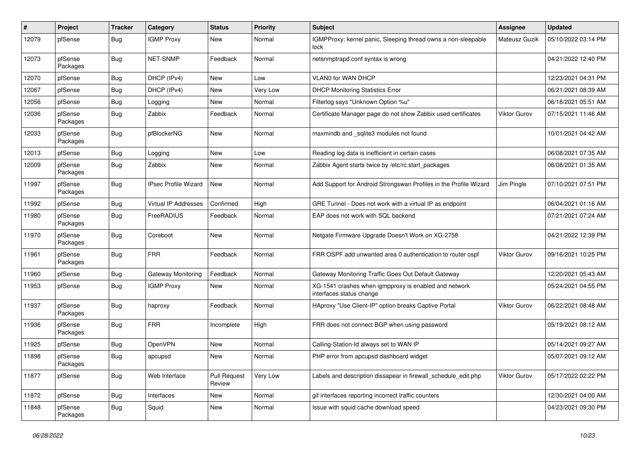| #     | Project             | <b>Tracker</b> | Category                    | <b>Status</b>                 | Priority | Subject                                                                           | <b>Assignee</b>     | <b>Updated</b>      |
|-------|---------------------|----------------|-----------------------------|-------------------------------|----------|-----------------------------------------------------------------------------------|---------------------|---------------------|
| 12079 | pfSense             | Bug            | <b>IGMP Proxy</b>           | New                           | Normal   | IGMPProxy: kernel panic, Sleeping thread owns a non-sleepable<br>lock             | Mateusz Guzik       | 05/10/2022 03:14 PM |
| 12073 | pfSense<br>Packages | Bug            | NET-SNMP                    | Feedback                      | Normal   | netsnmptrapd.conf syntax is wrong                                                 |                     | 04/21/2022 12:40 PM |
| 12070 | pfSense             | Bug            | DHCP (IPv4)                 | <b>New</b>                    | Low      | <b>VLAN0 for WAN DHCP</b>                                                         |                     | 12/23/2021 04:31 PM |
| 12067 | pfSense             | <b>Bug</b>     | DHCP (IPv4)                 | New                           | Very Low | <b>DHCP Monitoring Statistics Error</b>                                           |                     | 06/21/2021 08:39 AM |
| 12056 | pfSense             | Bug            | Logging                     | New                           | Normal   | Filterlog says "Unknown Option %u"                                                |                     | 06/18/2021 05:51 AM |
| 12036 | pfSense<br>Packages | Bug            | Zabbix                      | Feedback                      | Normal   | Certificate Manager page do not show Zabbix used certificates                     | Viktor Gurov        | 07/15/2021 11:46 AM |
| 12033 | pfSense<br>Packages | Bug            | pfBlockerNG                 | <b>New</b>                    | Normal   | maxmindb and _sqlite3 modules not found                                           |                     | 10/01/2021 04:42 AM |
| 12013 | pfSense             | <b>Bug</b>     | Logging                     | <b>New</b>                    | Low      | Reading log data is inefficient in certain cases                                  |                     | 06/08/2021 07:35 AM |
| 12009 | pfSense<br>Packages | Bug            | Zabbix                      | <b>New</b>                    | Normal   | Zabbix Agent starts twice by /etc/rc.start packages                               |                     | 06/08/2021 01:35 AM |
| 11997 | pfSense<br>Packages | Bug            | <b>IPsec Profile Wizard</b> | <b>New</b>                    | Normal   | Add Support for Android Strongswan Profiles in the Profile Wizard                 | Jim Pingle          | 07/10/2021 07:51 PM |
| 11992 | pfSense             | Bug            | Virtual IP Addresses        | Confirmed                     | High     | GRE Tunnel - Does not work with a virtual IP as endpoint                          |                     | 06/04/2021 01:16 AM |
| 11980 | pfSense<br>Packages | Bug            | FreeRADIUS                  | Feedback                      | Normal   | EAP does not work with SQL backend                                                |                     | 07/21/2021 07:24 AM |
| 11970 | pfSense<br>Packages | Bug            | Coreboot                    | New                           | Normal   | Netgate Firmware Upgrade Doesn't Work on XG-2758                                  |                     | 04/21/2022 12:39 PM |
| 11961 | pfSense<br>Packages | <b>Bug</b>     | <b>FRR</b>                  | Feedback                      | Normal   | FRR OSPF add unwanted area 0 authentication to router ospf                        | Viktor Gurov        | 09/16/2021 10:25 PM |
| 11960 | pfSense             | Bug            | Gateway Monitoring          | Feedback                      | Normal   | Gateway Monitoring Traffic Goes Out Default Gateway                               |                     | 12/20/2021 05:43 AM |
| 11953 | pfSense             | Bug            | <b>IGMP Proxy</b>           | New                           | Normal   | XG-1541 crashes when igmpproxy is enabled and network<br>interfaces status change |                     | 05/24/2021 04:55 PM |
| 11937 | pfSense<br>Packages | Bug            | haproxy                     | Feedback                      | Normal   | HAproxy "Use Client-IP" option breaks Captive Portal                              | Viktor Gurov        | 06/22/2021 08:48 AM |
| 11936 | pfSense<br>Packages | Bug            | <b>FRR</b>                  | Incomplete                    | High     | FRR does not connect BGP when using password                                      |                     | 05/19/2021 08:12 AM |
| 11925 | pfSense             | Bug            | <b>OpenVPN</b>              | New                           | Normal   | Calling-Station-Id always set to WAN IP                                           |                     | 05/14/2021 09:27 AM |
| 11898 | pfSense<br>Packages | Bug            | apcupsd                     | New                           | Normal   | PHP error from apcupsd dashboard widget                                           |                     | 05/07/2021 09:12 AM |
| 11877 | pfSense             | <b>Bug</b>     | Web Interface               | <b>Pull Request</b><br>Review | Very Low | Labels and description dissapear in firewall_schedule_edit.php                    | <b>Viktor Gurov</b> | 05/17/2022 02:22 PM |
| 11872 | pfSense             | <b>Bug</b>     | Interfaces                  | New                           | Normal   | gif interfaces reporting incorrect traffic counters                               |                     | 12/30/2021 04:00 AM |
| 11848 | pfSense<br>Packages | <b>Bug</b>     | Squid                       | New                           | Normal   | Issue with squid cache download speed                                             |                     | 04/23/2021 09:30 PM |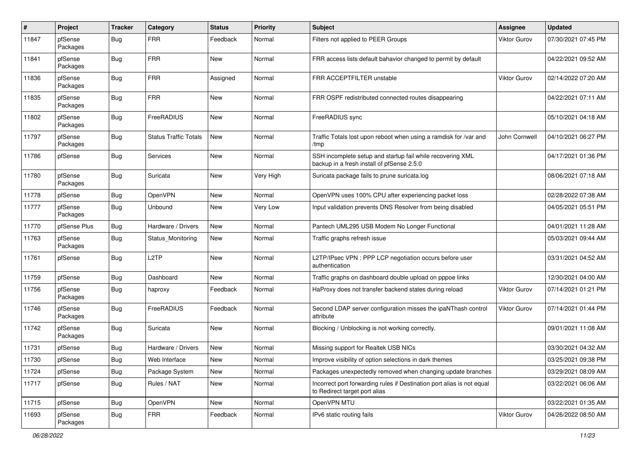| #     | Project             | <b>Tracker</b>   | Category                     | <b>Status</b> | <b>Priority</b> | <b>Subject</b>                                                                                           | <b>Assignee</b>     | <b>Updated</b>      |
|-------|---------------------|------------------|------------------------------|---------------|-----------------|----------------------------------------------------------------------------------------------------------|---------------------|---------------------|
| 11847 | pfSense<br>Packages | Bug              | <b>FRR</b>                   | Feedback      | Normal          | Filters not applied to PEER Groups                                                                       | <b>Viktor Gurov</b> | 07/30/2021 07:45 PM |
| 11841 | pfSense<br>Packages | Bug              | <b>FRR</b>                   | New           | Normal          | FRR access lists default bahavior changed to permit by default                                           |                     | 04/22/2021 09:52 AM |
| 11836 | pfSense<br>Packages | Bug              | FRR                          | Assigned      | Normal          | FRR ACCEPTFILTER unstable                                                                                | Viktor Gurov        | 02/14/2022 07:20 AM |
| 11835 | pfSense<br>Packages | Bug              | <b>FRR</b>                   | New           | Normal          | FRR OSPF redistributed connected routes disappearing                                                     |                     | 04/22/2021 07:11 AM |
| 11802 | pfSense<br>Packages | Bug              | FreeRADIUS                   | <b>New</b>    | Normal          | FreeRADIUS sync                                                                                          |                     | 05/10/2021 04:18 AM |
| 11797 | pfSense<br>Packages | Bug              | <b>Status Traffic Totals</b> | New           | Normal          | Traffic Totals lost upon reboot when using a ramdisk for /var and<br>/tmp                                | John Cornwell       | 04/10/2021 06:27 PM |
| 11786 | pfSense             | Bug              | <b>Services</b>              | <b>New</b>    | Normal          | SSH incomplete setup and startup fail while recovering XML<br>backup in a fresh install of pfSense 2.5.0 |                     | 04/17/2021 01:36 PM |
| 11780 | pfSense<br>Packages | <b>Bug</b>       | Suricata                     | New           | Very High       | Suricata package fails to prune suricata.log                                                             |                     | 08/06/2021 07:18 AM |
| 11778 | pfSense             | Bug              | OpenVPN                      | New           | Normal          | OpenVPN uses 100% CPU after experiencing packet loss                                                     |                     | 02/28/2022 07:38 AM |
| 11777 | pfSense<br>Packages | <b>Bug</b>       | Unbound                      | New           | Very Low        | Input validation prevents DNS Resolver from being disabled                                               |                     | 04/05/2021 05:51 PM |
| 11770 | pfSense Plus        | <b>Bug</b>       | Hardware / Drivers           | New           | Normal          | Pantech UML295 USB Modem No Longer Functional                                                            |                     | 04/01/2021 11:28 AM |
| 11763 | pfSense<br>Packages | Bug              | Status_Monitoring            | New           | Normal          | Traffic graphs refresh issue                                                                             |                     | 05/03/2021 09:44 AM |
| 11761 | pfSense             | Bug              | L <sub>2</sub> TP            | New           | Normal          | L2TP/IPsec VPN : PPP LCP negotiation occurs before user<br>authentication                                |                     | 03/31/2021 04:52 AM |
| 11759 | pfSense             | Bug              | Dashboard                    | New           | Normal          | Traffic graphs on dashboard double upload on pppoe links                                                 |                     | 12/30/2021 04:00 AM |
| 11756 | pfSense<br>Packages | <b>Bug</b>       | haproxy                      | Feedback      | Normal          | HaProxy does not transfer backend states during reload                                                   | <b>Viktor Gurov</b> | 07/14/2021 01:21 PM |
| 11746 | pfSense<br>Packages | Bug              | FreeRADIUS                   | Feedback      | Normal          | Second LDAP server configuration misses the ipaNThash control<br>attribute                               | Viktor Gurov        | 07/14/2021 01:44 PM |
| 11742 | pfSense<br>Packages | Bug              | Suricata                     | New           | Normal          | Blocking / Unblocking is not working correctly.                                                          |                     | 09/01/2021 11:08 AM |
| 11731 | pfSense             | Bug              | Hardware / Drivers           | New           | Normal          | Missing support for Realtek USB NICs                                                                     |                     | 03/30/2021 04:32 AM |
| 11730 | pfSense             | <sub>I</sub> Bug | Web Interface                | New           | Normal          | Improve visibility of option selections in dark themes                                                   |                     | 03/25/2021 09:38 PM |
| 11724 | pfSense             | <b>Bug</b>       | Package System               | New           | Normal          | Packages unexpectedly removed when changing update branches                                              |                     | 03/29/2021 08:09 AM |
| 11717 | pfSense             | <b>Bug</b>       | Rules / NAT                  | New           | Normal          | Incorrect port forwarding rules if Destination port alias is not equal<br>to Redirect target port alias  |                     | 03/22/2021 06:06 AM |
| 11715 | pfSense             | <b>Bug</b>       | OpenVPN                      | New           | Normal          | OpenVPN MTU                                                                                              |                     | 03/22/2021 01:35 AM |
| 11693 | pfSense<br>Packages | <b>Bug</b>       | <b>FRR</b>                   | Feedback      | Normal          | IPv6 static routing fails                                                                                | Viktor Gurov        | 04/26/2022 08:50 AM |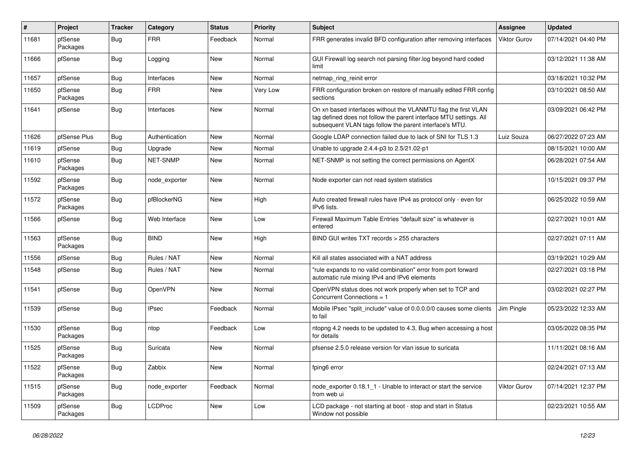| #     | Project             | <b>Tracker</b> | Category       | <b>Status</b> | <b>Priority</b> | <b>Subject</b>                                                                                                                                                                                  | <b>Assignee</b>     | <b>Updated</b>      |
|-------|---------------------|----------------|----------------|---------------|-----------------|-------------------------------------------------------------------------------------------------------------------------------------------------------------------------------------------------|---------------------|---------------------|
| 11681 | pfSense<br>Packages | <b>Bug</b>     | <b>FRR</b>     | Feedback      | Normal          | FRR generates invalid BFD configuration after removing interfaces                                                                                                                               | <b>Viktor Gurov</b> | 07/14/2021 04:40 PM |
| 11666 | pfSense             | Bug            | Logging        | <b>New</b>    | Normal          | GUI Firewall log search not parsing filter.log beyond hard coded<br>limit                                                                                                                       |                     | 03/12/2021 11:38 AM |
| 11657 | pfSense             | Bug            | Interfaces     | New           | Normal          | netmap_ring_reinit error                                                                                                                                                                        |                     | 03/18/2021 10:32 PM |
| 11650 | pfSense<br>Packages | Bug            | <b>FRR</b>     | New           | Very Low        | FRR configuration broken on restore of manually edited FRR config<br>sections                                                                                                                   |                     | 03/10/2021 08:50 AM |
| 11641 | pfSense             | Bug            | Interfaces     | New           | Normal          | On xn based interfaces without the VLANMTU flag the first VLAN<br>tag defined does not follow the parent interface MTU settings. All<br>subsequent VLAN tags follow the parent interface's MTU. |                     | 03/09/2021 06:42 PM |
| 11626 | pfSense Plus        | Bug            | Authentication | New           | Normal          | Google LDAP connection failed due to lack of SNI for TLS 1.3                                                                                                                                    | Luiz Souza          | 06/27/2022 07:23 AM |
| 11619 | pfSense             | <b>Bug</b>     | Upgrade        | New           | Normal          | Unable to upgrade 2.4.4-p3 to 2.5/21.02-p1                                                                                                                                                      |                     | 08/15/2021 10:00 AM |
| 11610 | pfSense<br>Packages | Bug            | NET-SNMP       | New           | Normal          | NET-SNMP is not setting the correct permissions on AgentX                                                                                                                                       |                     | 06/28/2021 07:54 AM |
| 11592 | pfSense<br>Packages | Bug            | node exporter  | New           | Normal          | Node exporter can not read system statistics                                                                                                                                                    |                     | 10/15/2021 09:37 PM |
| 11572 | pfSense<br>Packages | Bug            | pfBlockerNG    | New           | High            | Auto created firewall rules have IPv4 as protocol only - even for<br>IPv6 lists.                                                                                                                |                     | 06/25/2022 10:59 AM |
| 11566 | pfSense             | Bug            | Web Interface  | New           | Low             | Firewall Maximum Table Entries "default size" is whatever is<br>entered                                                                                                                         |                     | 02/27/2021 10:01 AM |
| 11563 | pfSense<br>Packages | Bug            | <b>BIND</b>    | <b>New</b>    | High            | BIND GUI writes TXT records > 255 characters                                                                                                                                                    |                     | 02/27/2021 07:11 AM |
| 11556 | pfSense             | <b>Bug</b>     | Rules / NAT    | New           | Normal          | Kill all states associated with a NAT address                                                                                                                                                   |                     | 03/19/2021 10:29 AM |
| 11548 | pfSense             | Bug            | Rules / NAT    | New           | Normal          | "rule expands to no valid combination" error from port forward<br>automatic rule mixing IPv4 and IPv6 elements                                                                                  |                     | 02/27/2021 03:18 PM |
| 11541 | pfSense             | <b>Bug</b>     | OpenVPN        | New           | Normal          | OpenVPN status does not work properly when set to TCP and<br>Concurrent Connections = 1                                                                                                         |                     | 03/02/2021 02:27 PM |
| 11539 | pfSense             | Bug            | <b>IPsec</b>   | Feedback      | Normal          | Mobile IPsec "split include" value of 0.0.0.0/0 causes some clients<br>to fail                                                                                                                  | Jim Pingle          | 05/23/2022 12:33 AM |
| 11530 | pfSense<br>Packages | Bug            | ntop           | Feedback      | Low             | ntopng 4.2 needs to be updated to 4.3, Bug when accessing a host<br>for details                                                                                                                 |                     | 03/05/2022 08:35 PM |
| 11525 | pfSense<br>Packages | Bug            | Suricata       | <b>New</b>    | Normal          | pfsense 2.5.0 release version for vlan issue to suricata                                                                                                                                        |                     | 11/11/2021 08:16 AM |
| 11522 | pfSense<br>Packages | <b>Bug</b>     | Zabbix         | New           | Normal          | fping6 error                                                                                                                                                                                    |                     | 02/24/2021 07:13 AM |
| 11515 | pfSense<br>Packages | <b>Bug</b>     | node_exporter  | Feedback      | Normal          | node exporter 0.18.1 1 - Unable to interact or start the service<br>from web ui                                                                                                                 | Viktor Gurov        | 07/14/2021 12:37 PM |
| 11509 | pfSense<br>Packages | Bug            | <b>LCDProc</b> | New           | Low             | LCD package - not starting at boot - stop and start in Status<br>Window not possible                                                                                                            |                     | 02/23/2021 10:55 AM |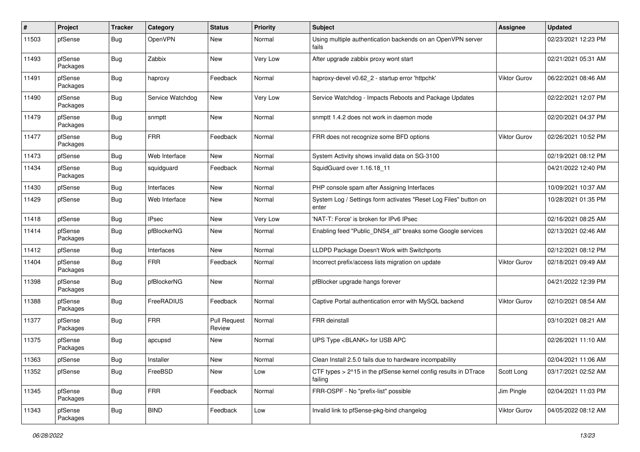| $\vert$ # | Project             | <b>Tracker</b> | Category         | <b>Status</b>                 | <b>Priority</b> | <b>Subject</b>                                                             | <b>Assignee</b>     | <b>Updated</b>      |
|-----------|---------------------|----------------|------------------|-------------------------------|-----------------|----------------------------------------------------------------------------|---------------------|---------------------|
| 11503     | pfSense             | Bug            | OpenVPN          | New                           | Normal          | Using multiple authentication backends on an OpenVPN server<br>fails       |                     | 02/23/2021 12:23 PM |
| 11493     | pfSense<br>Packages | Bug            | Zabbix           | New                           | Very Low        | After upgrade zabbix proxy wont start                                      |                     | 02/21/2021 05:31 AM |
| 11491     | pfSense<br>Packages | Bug            | haproxy          | Feedback                      | Normal          | haproxy-devel v0.62 2 - startup error 'httpchk'                            | <b>Viktor Gurov</b> | 06/22/2021 08:46 AM |
| 11490     | pfSense<br>Packages | Bug            | Service Watchdog | New                           | Very Low        | Service Watchdog - Impacts Reboots and Package Updates                     |                     | 02/22/2021 12:07 PM |
| 11479     | pfSense<br>Packages | Bug            | snmptt           | <b>New</b>                    | Normal          | snmptt 1.4.2 does not work in daemon mode                                  |                     | 02/20/2021 04:37 PM |
| 11477     | pfSense<br>Packages | Bug            | <b>FRR</b>       | Feedback                      | Normal          | FRR does not recognize some BFD options                                    | <b>Viktor Gurov</b> | 02/26/2021 10:52 PM |
| 11473     | pfSense             | <b>Bug</b>     | Web Interface    | New                           | Normal          | System Activity shows invalid data on SG-3100                              |                     | 02/19/2021 08:12 PM |
| 11434     | pfSense<br>Packages | Bug            | squidguard       | Feedback                      | Normal          | SquidGuard over 1.16.18_11                                                 |                     | 04/21/2022 12:40 PM |
| 11430     | pfSense             | Bug            | Interfaces       | New                           | Normal          | PHP console spam after Assigning Interfaces                                |                     | 10/09/2021 10:37 AM |
| 11429     | pfSense             | Bug            | Web Interface    | New                           | Normal          | System Log / Settings form activates "Reset Log Files" button on<br>enter  |                     | 10/28/2021 01:35 PM |
| 11418     | pfSense             | Bug            | <b>IPsec</b>     | New                           | Very Low        | 'NAT-T: Force' is broken for IPv6 IPsec                                    |                     | 02/16/2021 08:25 AM |
| 11414     | pfSense<br>Packages | Bug            | pfBlockerNG      | New                           | Normal          | Enabling feed "Public_DNS4_all" breaks some Google services                |                     | 02/13/2021 02:46 AM |
| 11412     | pfSense             | Bug            | Interfaces       | New                           | Normal          | LLDPD Package Doesn't Work with Switchports                                |                     | 02/12/2021 08:12 PM |
| 11404     | pfSense<br>Packages | <b>Bug</b>     | <b>FRR</b>       | Feedback                      | Normal          | Incorrect prefix/access lists migration on update                          | <b>Viktor Gurov</b> | 02/18/2021 09:49 AM |
| 11398     | pfSense<br>Packages | Bug            | pfBlockerNG      | New                           | Normal          | pfBlocker upgrade hangs forever                                            |                     | 04/21/2022 12:39 PM |
| 11388     | pfSense<br>Packages | Bug            | FreeRADIUS       | Feedback                      | Normal          | Captive Portal authentication error with MySQL backend                     | <b>Viktor Gurov</b> | 02/10/2021 08:54 AM |
| 11377     | pfSense<br>Packages | Bug            | <b>FRR</b>       | <b>Pull Request</b><br>Review | Normal          | <b>FRR</b> deinstall                                                       |                     | 03/10/2021 08:21 AM |
| 11375     | pfSense<br>Packages | Bug            | apcupsd          | New                           | Normal          | UPS Type <blank> for USB APC</blank>                                       |                     | 02/26/2021 11:10 AM |
| 11363     | pfSense             | Bug            | Installer        | New                           | Normal          | Clean Install 2.5.0 fails due to hardware incompability                    |                     | 02/04/2021 11:06 AM |
| 11352     | pfSense             | <b>Bug</b>     | FreeBSD          | New                           | Low             | CTF types > 2^15 in the pfSense kernel config results in DTrace<br>failing | Scott Long          | 03/17/2021 02:52 AM |
| 11345     | pfSense<br>Packages | <b>Bug</b>     | <b>FRR</b>       | Feedback                      | Normal          | FRR-OSPF - No "prefix-list" possible                                       | Jim Pingle          | 02/04/2021 11:03 PM |
| 11343     | pfSense<br>Packages | Bug            | <b>BIND</b>      | Feedback                      | Low             | Invalid link to pfSense-pkg-bind changelog                                 | Viktor Gurov        | 04/05/2022 08:12 AM |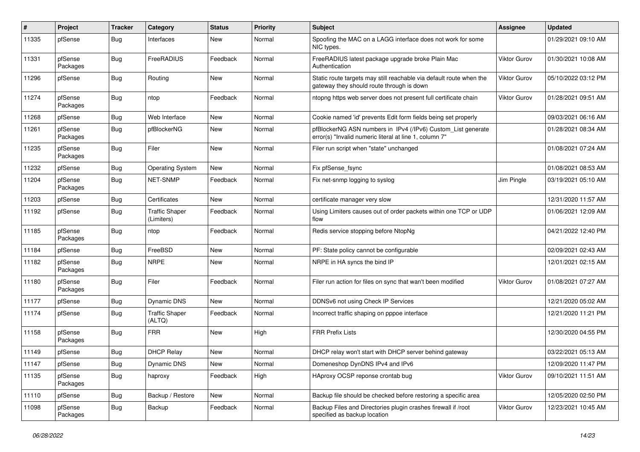| #     | Project             | <b>Tracker</b> | Category                            | <b>Status</b> | Priority | <b>Subject</b>                                                                                                         | Assignee            | <b>Updated</b>      |
|-------|---------------------|----------------|-------------------------------------|---------------|----------|------------------------------------------------------------------------------------------------------------------------|---------------------|---------------------|
| 11335 | pfSense             | Bug            | Interfaces                          | New           | Normal   | Spoofing the MAC on a LAGG interface does not work for some<br>NIC types.                                              |                     | 01/29/2021 09:10 AM |
| 11331 | pfSense<br>Packages | Bug            | FreeRADIUS                          | Feedback      | Normal   | FreeRADIUS latest package upgrade broke Plain Mac<br>Authentication                                                    | <b>Viktor Gurov</b> | 01/30/2021 10:08 AM |
| 11296 | pfSense             | Bug            | Routing                             | New           | Normal   | Static route targets may still reachable via default route when the<br>gateway they should route through is down       | <b>Viktor Gurov</b> | 05/10/2022 03:12 PM |
| 11274 | pfSense<br>Packages | Bug            | ntop                                | Feedback      | Normal   | ntopng https web server does not present full certificate chain                                                        | <b>Viktor Gurov</b> | 01/28/2021 09:51 AM |
| 11268 | pfSense             | Bug            | Web Interface                       | New           | Normal   | Cookie named 'id' prevents Edit form fields being set properly                                                         |                     | 09/03/2021 06:16 AM |
| 11261 | pfSense<br>Packages | Bug            | pfBlockerNG                         | New           | Normal   | pfBlockerNG ASN numbers in IPv4 (/IPv6) Custom_List generate<br>error(s) "Invalid numeric literal at line 1, column 7" |                     | 01/28/2021 08:34 AM |
| 11235 | pfSense<br>Packages | Bug            | Filer                               | New           | Normal   | Filer run script when "state" unchanged                                                                                |                     | 01/08/2021 07:24 AM |
| 11232 | pfSense             | Bug            | <b>Operating System</b>             | New           | Normal   | Fix pfSense fsync                                                                                                      |                     | 01/08/2021 08:53 AM |
| 11204 | pfSense<br>Packages | <b>Bug</b>     | NET-SNMP                            | Feedback      | Normal   | Fix net-snmp logging to syslog                                                                                         | Jim Pingle          | 03/19/2021 05:10 AM |
| 11203 | pfSense             | <b>Bug</b>     | Certificates                        | New           | Normal   | certificate manager very slow                                                                                          |                     | 12/31/2020 11:57 AM |
| 11192 | pfSense             | Bug            | <b>Traffic Shaper</b><br>(Limiters) | Feedback      | Normal   | Using Limiters causes out of order packets within one TCP or UDP<br>flow                                               |                     | 01/06/2021 12:09 AM |
| 11185 | pfSense<br>Packages | Bug            | ntop                                | Feedback      | Normal   | Redis service stopping before NtopNg                                                                                   |                     | 04/21/2022 12:40 PM |
| 11184 | pfSense             | Bug            | FreeBSD                             | New           | Normal   | PF: State policy cannot be configurable                                                                                |                     | 02/09/2021 02:43 AM |
| 11182 | pfSense<br>Packages | Bug            | <b>NRPE</b>                         | New           | Normal   | NRPE in HA syncs the bind IP                                                                                           |                     | 12/01/2021 02:15 AM |
| 11180 | pfSense<br>Packages | Bug            | Filer                               | Feedback      | Normal   | Filer run action for files on sync that wan't been modified                                                            | <b>Viktor Gurov</b> | 01/08/2021 07:27 AM |
| 11177 | pfSense             | Bug            | <b>Dynamic DNS</b>                  | New           | Normal   | DDNSv6 not using Check IP Services                                                                                     |                     | 12/21/2020 05:02 AM |
| 11174 | pfSense             | Bug            | <b>Traffic Shaper</b><br>(ALTQ)     | Feedback      | Normal   | Incorrect traffic shaping on pppoe interface                                                                           |                     | 12/21/2020 11:21 PM |
| 11158 | pfSense<br>Packages | <b>Bug</b>     | <b>FRR</b>                          | New           | High     | <b>FRR Prefix Lists</b>                                                                                                |                     | 12/30/2020 04:55 PM |
| 11149 | pfSense             | <b>Bug</b>     | <b>DHCP Relay</b>                   | <b>New</b>    | Normal   | DHCP relay won't start with DHCP server behind gateway                                                                 |                     | 03/22/2021 05:13 AM |
| 11147 | pfSense             | Bug            | Dynamic DNS                         | <b>New</b>    | Normal   | Domeneshop DynDNS IPv4 and IPv6                                                                                        |                     | 12/09/2020 11:47 PM |
| 11135 | pfSense<br>Packages | Bug            | haproxy                             | Feedback      | High     | HAproxy OCSP reponse crontab bug                                                                                       | Viktor Gurov        | 09/10/2021 11:51 AM |
| 11110 | pfSense             | <b>Bug</b>     | Backup / Restore                    | New           | Normal   | Backup file should be checked before restoring a specific area                                                         |                     | 12/05/2020 02:50 PM |
| 11098 | pfSense<br>Packages | Bug            | Backup                              | Feedback      | Normal   | Backup Files and Directories plugin crashes firewall if /root<br>specified as backup location                          | Viktor Gurov        | 12/23/2021 10:45 AM |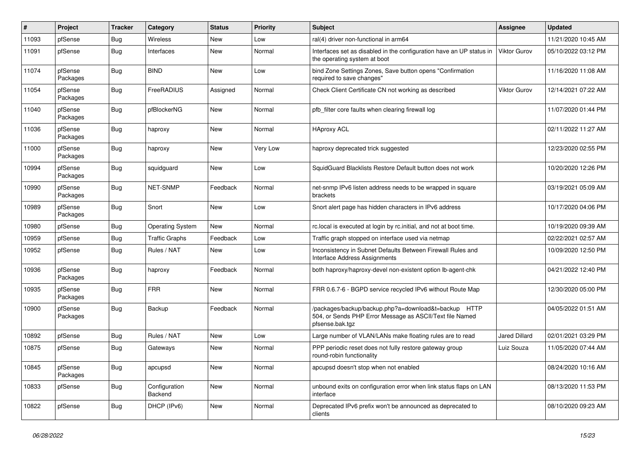| #     | Project             | <b>Tracker</b> | Category                 | <b>Status</b> | <b>Priority</b> | Subject                                                                                                                             | <b>Assignee</b>      | <b>Updated</b>      |
|-------|---------------------|----------------|--------------------------|---------------|-----------------|-------------------------------------------------------------------------------------------------------------------------------------|----------------------|---------------------|
| 11093 | pfSense             | Bug            | Wireless                 | New           | Low             | ral(4) driver non-functional in arm64                                                                                               |                      | 11/21/2020 10:45 AM |
| 11091 | pfSense             | Bug            | Interfaces               | New           | Normal          | Interfaces set as disabled in the configuration have an UP status in<br>the operating system at boot                                | Viktor Gurov         | 05/10/2022 03:12 PM |
| 11074 | pfSense<br>Packages | Bug            | <b>BIND</b>              | <b>New</b>    | Low             | bind Zone Settings Zones, Save button opens "Confirmation<br>required to save changes"                                              |                      | 11/16/2020 11:08 AM |
| 11054 | pfSense<br>Packages | <b>Bug</b>     | FreeRADIUS               | Assigned      | Normal          | Check Client Certificate CN not working as described                                                                                | <b>Viktor Gurov</b>  | 12/14/2021 07:22 AM |
| 11040 | pfSense<br>Packages | Bug            | pfBlockerNG              | New           | Normal          | pfb filter core faults when clearing firewall log                                                                                   |                      | 11/07/2020 01:44 PM |
| 11036 | pfSense<br>Packages | Bug            | haproxy                  | New           | Normal          | <b>HAproxy ACL</b>                                                                                                                  |                      | 02/11/2022 11:27 AM |
| 11000 | pfSense<br>Packages | Bug            | haproxy                  | New           | Very Low        | haproxy deprecated trick suggested                                                                                                  |                      | 12/23/2020 02:55 PM |
| 10994 | pfSense<br>Packages | Bug            | squidguard               | New           | Low             | SquidGuard Blacklists Restore Default button does not work                                                                          |                      | 10/20/2020 12:26 PM |
| 10990 | pfSense<br>Packages | <b>Bug</b>     | NET-SNMP                 | Feedback      | Normal          | net-snmp IPv6 listen address needs to be wrapped in square<br>brackets                                                              |                      | 03/19/2021 05:09 AM |
| 10989 | pfSense<br>Packages | Bug            | Snort                    | New           | Low             | Snort alert page has hidden characters in IPv6 address                                                                              |                      | 10/17/2020 04:06 PM |
| 10980 | pfSense             | <b>Bug</b>     | <b>Operating System</b>  | New           | Normal          | rc.local is executed at login by rc.initial, and not at boot time.                                                                  |                      | 10/19/2020 09:39 AM |
| 10959 | pfSense             | <b>Bug</b>     | <b>Traffic Graphs</b>    | Feedback      | Low             | Traffic graph stopped on interface used via netmap                                                                                  |                      | 02/22/2021 02:57 AM |
| 10952 | pfSense             | Bug            | Rules / NAT              | New           | Low             | Inconsistency in Subnet Defaults Between Firewall Rules and<br>Interface Address Assignments                                        |                      | 10/09/2020 12:50 PM |
| 10936 | pfSense<br>Packages | Bug            | haproxy                  | Feedback      | Normal          | both haproxy/haproxy-devel non-existent option lb-agent-chk                                                                         |                      | 04/21/2022 12:40 PM |
| 10935 | pfSense<br>Packages | Bug            | <b>FRR</b>               | New           | Normal          | FRR 0.6.7-6 - BGPD service recycled IPv6 without Route Map                                                                          |                      | 12/30/2020 05:00 PM |
| 10900 | pfSense<br>Packages | Bug            | Backup                   | Feedback      | Normal          | /packages/backup/backup.php?a=download&t=backup HTTP<br>504, or Sends PHP Error Message as ASCII/Text file Named<br>pfsense.bak.tgz |                      | 04/05/2022 01:51 AM |
| 10892 | pfSense             | <b>Bug</b>     | Rules / NAT              | New           | Low             | Large number of VLAN/LANs make floating rules are to read                                                                           | <b>Jared Dillard</b> | 02/01/2021 03:29 PM |
| 10875 | pfSense             | <b>Bug</b>     | Gateways                 | New           | Normal          | PPP periodic reset does not fully restore gateway group<br>round-robin functionality                                                | Luiz Souza           | 11/05/2020 07:44 AM |
| 10845 | pfSense<br>Packages | <b>Bug</b>     | apcupsd                  | New           | Normal          | apcupsd doesn't stop when not enabled                                                                                               |                      | 08/24/2020 10:16 AM |
| 10833 | pfSense             | Bug            | Configuration<br>Backend | New           | Normal          | unbound exits on configuration error when link status flaps on LAN<br>interface                                                     |                      | 08/13/2020 11:53 PM |
| 10822 | pfSense             | <b>Bug</b>     | DHCP (IPv6)              | New           | Normal          | Deprecated IPv6 prefix won't be announced as deprecated to<br>clients                                                               |                      | 08/10/2020 09:23 AM |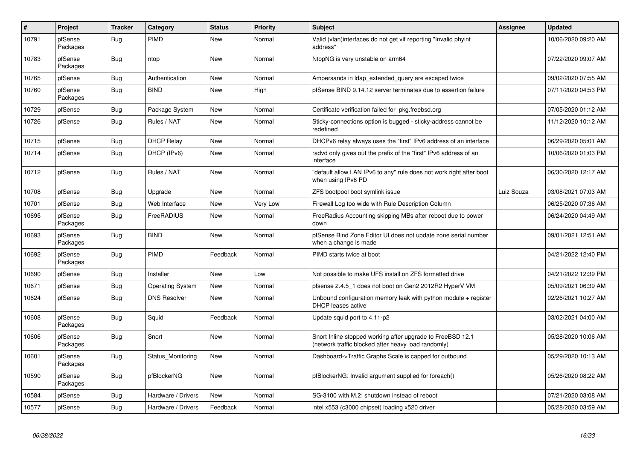| $\sharp$ | Project             | <b>Tracker</b> | Category                | <b>Status</b> | Priority | <b>Subject</b>                                                                                                    | <b>Assignee</b> | <b>Updated</b>      |
|----------|---------------------|----------------|-------------------------|---------------|----------|-------------------------------------------------------------------------------------------------------------------|-----------------|---------------------|
| 10791    | pfSense<br>Packages | Bug            | PIMD                    | <b>New</b>    | Normal   | Valid (vlan)interfaces do not get vif reporting "Invalid phyint<br>address"                                       |                 | 10/06/2020 09:20 AM |
| 10783    | pfSense<br>Packages | <b>Bug</b>     | ntop                    | New           | Normal   | NtopNG is very unstable on arm64                                                                                  |                 | 07/22/2020 09:07 AM |
| 10765    | pfSense             | <b>Bug</b>     | Authentication          | New           | Normal   | Ampersands in Idap_extended_query are escaped twice                                                               |                 | 09/02/2020 07:55 AM |
| 10760    | pfSense<br>Packages | Bug            | <b>BIND</b>             | New           | High     | pfSense BIND 9.14.12 server terminates due to assertion failure                                                   |                 | 07/11/2020 04:53 PM |
| 10729    | pfSense             | Bug            | Package System          | <b>New</b>    | Normal   | Certificate verification failed for pkg.freebsd.org                                                               |                 | 07/05/2020 01:12 AM |
| 10726    | pfSense             | <b>Bug</b>     | Rules / NAT             | New           | Normal   | Sticky-connections option is bugged - sticky-address cannot be<br>redefined                                       |                 | 11/12/2020 10:12 AM |
| 10715    | pfSense             | <b>Bug</b>     | <b>DHCP Relay</b>       | New           | Normal   | DHCPv6 relay always uses the "first" IPv6 address of an interface                                                 |                 | 06/29/2020 05:01 AM |
| 10714    | pfSense             | Bug            | DHCP (IPv6)             | New           | Normal   | radvd only gives out the prefix of the "first" IPv6 address of an<br>interface                                    |                 | 10/06/2020 01:03 PM |
| 10712    | pfSense             | Bug            | Rules / NAT             | <b>New</b>    | Normal   | "default allow LAN IPv6 to any" rule does not work right after boot<br>when using IPv6 PD                         |                 | 06/30/2020 12:17 AM |
| 10708    | pfSense             | <b>Bug</b>     | Upgrade                 | <b>New</b>    | Normal   | ZFS bootpool boot symlink issue                                                                                   | Luiz Souza      | 03/08/2021 07:03 AM |
| 10701    | pfSense             | Bug            | Web Interface           | New           | Very Low | Firewall Log too wide with Rule Description Column                                                                |                 | 06/25/2020 07:36 AM |
| 10695    | pfSense<br>Packages | Bug            | FreeRADIUS              | New           | Normal   | FreeRadius Accounting skipping MBs after reboot due to power<br>down                                              |                 | 06/24/2020 04:49 AM |
| 10693    | pfSense<br>Packages | Bug            | <b>BIND</b>             | <b>New</b>    | Normal   | pfSense Bind Zone Editor UI does not update zone serial number<br>when a change is made                           |                 | 09/01/2021 12:51 AM |
| 10692    | pfSense<br>Packages | Bug            | PIMD                    | Feedback      | Normal   | PIMD starts twice at boot                                                                                         |                 | 04/21/2022 12:40 PM |
| 10690    | pfSense             | <b>Bug</b>     | Installer               | <b>New</b>    | Low      | Not possible to make UFS install on ZFS formatted drive                                                           |                 | 04/21/2022 12:39 PM |
| 10671    | pfSense             | Bug            | <b>Operating System</b> | <b>New</b>    | Normal   | pfsense 2.4.5_1 does not boot on Gen2 2012R2 HyperV VM                                                            |                 | 05/09/2021 06:39 AM |
| 10624    | pfSense             | Bug            | <b>DNS Resolver</b>     | <b>New</b>    | Normal   | Unbound configuration memory leak with python module $+$ register<br><b>DHCP</b> leases active                    |                 | 02/26/2021 10:27 AM |
| 10608    | pfSense<br>Packages | Bug            | Squid                   | Feedback      | Normal   | Update squid port to 4.11-p2                                                                                      |                 | 03/02/2021 04:00 AM |
| 10606    | pfSense<br>Packages | <b>Bug</b>     | Snort                   | <b>New</b>    | Normal   | Snort Inline stopped working after upgrade to FreeBSD 12.1<br>(network traffic blocked after heavy load randomly) |                 | 05/28/2020 10:06 AM |
| 10601    | pfSense<br>Packages | Bug            | Status Monitoring       | <b>New</b>    | Normal   | Dashboard->Traffic Graphs Scale is capped for outbound                                                            |                 | 05/29/2020 10:13 AM |
| 10590    | pfSense<br>Packages | <b>Bug</b>     | pfBlockerNG             | <b>New</b>    | Normal   | pfBlockerNG: Invalid argument supplied for foreach()                                                              |                 | 05/26/2020 08:22 AM |
| 10584    | pfSense             | <b>Bug</b>     | Hardware / Drivers      | <b>New</b>    | Normal   | SG-3100 with M.2: shutdown instead of reboot                                                                      |                 | 07/21/2020 03:08 AM |
| 10577    | pfSense             | <b>Bug</b>     | Hardware / Drivers      | Feedback      | Normal   | intel x553 (c3000 chipset) loading x520 driver                                                                    |                 | 05/28/2020 03:59 AM |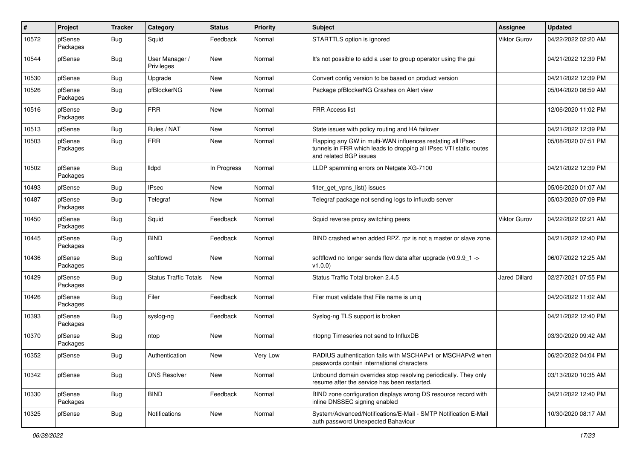| $\pmb{\#}$ | Project             | <b>Tracker</b> | Category                     | <b>Status</b> | <b>Priority</b> | <b>Subject</b>                                                                                                                                              | <b>Assignee</b>     | <b>Updated</b>      |
|------------|---------------------|----------------|------------------------------|---------------|-----------------|-------------------------------------------------------------------------------------------------------------------------------------------------------------|---------------------|---------------------|
| 10572      | pfSense<br>Packages | Bug            | Squid                        | Feedback      | Normal          | STARTTLS option is ignored                                                                                                                                  | Viktor Gurov        | 04/22/2022 02:20 AM |
| 10544      | pfSense             | Bug            | User Manager /<br>Privileges | <b>New</b>    | Normal          | It's not possible to add a user to group operator using the gui                                                                                             |                     | 04/21/2022 12:39 PM |
| 10530      | pfSense             | Bug            | Upgrade                      | New           | Normal          | Convert config version to be based on product version                                                                                                       |                     | 04/21/2022 12:39 PM |
| 10526      | pfSense<br>Packages | <b>Bug</b>     | pfBlockerNG                  | New           | Normal          | Package pfBlockerNG Crashes on Alert view                                                                                                                   |                     | 05/04/2020 08:59 AM |
| 10516      | pfSense<br>Packages | Bug            | <b>FRR</b>                   | New           | Normal          | <b>FRR Access list</b>                                                                                                                                      |                     | 12/06/2020 11:02 PM |
| 10513      | pfSense             | Bug            | Rules / NAT                  | <b>New</b>    | Normal          | State issues with policy routing and HA failover                                                                                                            |                     | 04/21/2022 12:39 PM |
| 10503      | pfSense<br>Packages | Bug            | <b>FRR</b>                   | New           | Normal          | Flapping any GW in multi-WAN influences restating all IPsec<br>tunnels in FRR which leads to dropping all IPsec VTI static routes<br>and related BGP issues |                     | 05/08/2020 07:51 PM |
| 10502      | pfSense<br>Packages | Bug            | lldpd                        | In Progress   | Normal          | LLDP spamming errors on Netgate XG-7100                                                                                                                     |                     | 04/21/2022 12:39 PM |
| 10493      | pfSense             | Bug            | <b>IPsec</b>                 | <b>New</b>    | Normal          | filter_get_vpns_list() issues                                                                                                                               |                     | 05/06/2020 01:07 AM |
| 10487      | pfSense<br>Packages | Bug            | Telegraf                     | New           | Normal          | Telegraf package not sending logs to influxdb server                                                                                                        |                     | 05/03/2020 07:09 PM |
| 10450      | pfSense<br>Packages | Bug            | Squid                        | Feedback      | Normal          | Squid reverse proxy switching peers                                                                                                                         | <b>Viktor Gurov</b> | 04/22/2022 02:21 AM |
| 10445      | pfSense<br>Packages | Bug            | <b>BIND</b>                  | Feedback      | Normal          | BIND crashed when added RPZ. rpz is not a master or slave zone.                                                                                             |                     | 04/21/2022 12:40 PM |
| 10436      | pfSense<br>Packages | Bug            | softflowd                    | <b>New</b>    | Normal          | softflowd no longer sends flow data after upgrade (v0.9.9_1 -><br>v1.0.0                                                                                    |                     | 06/07/2022 12:25 AM |
| 10429      | pfSense<br>Packages | Bug            | <b>Status Traffic Totals</b> | <b>New</b>    | Normal          | Status Traffic Total broken 2.4.5                                                                                                                           | Jared Dillard       | 02/27/2021 07:55 PM |
| 10426      | pfSense<br>Packages | Bug            | Filer                        | Feedback      | Normal          | Filer must validate that File name is uniq                                                                                                                  |                     | 04/20/2022 11:02 AM |
| 10393      | pfSense<br>Packages | Bug            | syslog-ng                    | Feedback      | Normal          | Syslog-ng TLS support is broken                                                                                                                             |                     | 04/21/2022 12:40 PM |
| 10370      | pfSense<br>Packages | Bug            | ntop                         | <b>New</b>    | Normal          | ntopng Timeseries not send to InfluxDB                                                                                                                      |                     | 03/30/2020 09:42 AM |
| 10352      | pfSense             | Bug            | Authentication               | New           | Very Low        | RADIUS authentication fails with MSCHAPv1 or MSCHAPv2 when<br>passwords contain international characters                                                    |                     | 06/20/2022 04:04 PM |
| 10342      | pfSense             | Bug            | <b>DNS Resolver</b>          | New           | Normal          | Unbound domain overrides stop resolving periodically. They only<br>resume after the service has been restarted.                                             |                     | 03/13/2020 10:35 AM |
| 10330      | pfSense<br>Packages | <b>Bug</b>     | <b>BIND</b>                  | Feedback      | Normal          | BIND zone configuration displays wrong DS resource record with<br>inline DNSSEC signing enabled                                                             |                     | 04/21/2022 12:40 PM |
| 10325      | pfSense             | <b>Bug</b>     | Notifications                | New           | Normal          | System/Advanced/Notifications/E-Mail - SMTP Notification E-Mail<br>auth password Unexpected Bahaviour                                                       |                     | 10/30/2020 08:17 AM |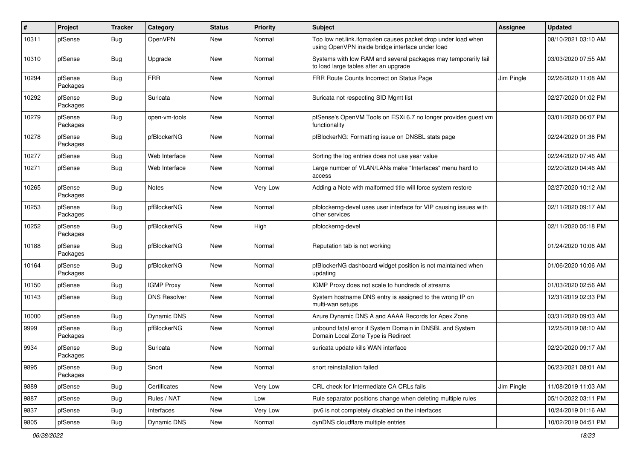| $\pmb{\#}$ | Project             | <b>Tracker</b> | Category            | <b>Status</b> | <b>Priority</b> | <b>Subject</b>                                                                                                    | <b>Assignee</b> | <b>Updated</b>      |
|------------|---------------------|----------------|---------------------|---------------|-----------------|-------------------------------------------------------------------------------------------------------------------|-----------------|---------------------|
| 10311      | pfSense             | Bug            | OpenVPN             | New           | Normal          | Too low net.link.ifqmaxlen causes packet drop under load when<br>using OpenVPN inside bridge interface under load |                 | 08/10/2021 03:10 AM |
| 10310      | pfSense             | Bug            | Upgrade             | New           | Normal          | Systems with low RAM and several packages may temporarily fail<br>to load large tables after an upgrade           |                 | 03/03/2020 07:55 AM |
| 10294      | pfSense<br>Packages | <b>Bug</b>     | <b>FRR</b>          | <b>New</b>    | Normal          | FRR Route Counts Incorrect on Status Page                                                                         | Jim Pingle      | 02/26/2020 11:08 AM |
| 10292      | pfSense<br>Packages | Bug            | Suricata            | New           | Normal          | Suricata not respecting SID Mgmt list                                                                             |                 | 02/27/2020 01:02 PM |
| 10279      | pfSense<br>Packages | <b>Bug</b>     | open-vm-tools       | <b>New</b>    | Normal          | pfSense's OpenVM Tools on ESXi 6.7 no longer provides guest vm<br>functionality                                   |                 | 03/01/2020 06:07 PM |
| 10278      | pfSense<br>Packages | <b>Bug</b>     | pfBlockerNG         | <b>New</b>    | Normal          | pfBlockerNG: Formatting issue on DNSBL stats page                                                                 |                 | 02/24/2020 01:36 PM |
| 10277      | pfSense             | <b>Bug</b>     | Web Interface       | <b>New</b>    | Normal          | Sorting the log entries does not use year value                                                                   |                 | 02/24/2020 07:46 AM |
| 10271      | pfSense             | <b>Bug</b>     | Web Interface       | New           | Normal          | Large number of VLAN/LANs make "Interfaces" menu hard to<br>access                                                |                 | 02/20/2020 04:46 AM |
| 10265      | pfSense<br>Packages | <b>Bug</b>     | <b>Notes</b>        | <b>New</b>    | Very Low        | Adding a Note with malformed title will force system restore                                                      |                 | 02/27/2020 10:12 AM |
| 10253      | pfSense<br>Packages | <b>Bug</b>     | pfBlockerNG         | <b>New</b>    | Normal          | pfblockerng-devel uses user interface for VIP causing issues with<br>other services                               |                 | 02/11/2020 09:17 AM |
| 10252      | pfSense<br>Packages | <b>Bug</b>     | pfBlockerNG         | New           | High            | pfblockerng-devel                                                                                                 |                 | 02/11/2020 05:18 PM |
| 10188      | pfSense<br>Packages | <b>Bug</b>     | pfBlockerNG         | <b>New</b>    | Normal          | Reputation tab is not working                                                                                     |                 | 01/24/2020 10:06 AM |
| 10164      | pfSense<br>Packages | Bug            | pfBlockerNG         | New           | Normal          | pfBlockerNG dashboard widget position is not maintained when<br>updating                                          |                 | 01/06/2020 10:06 AM |
| 10150      | pfSense             | <b>Bug</b>     | <b>IGMP Proxy</b>   | <b>New</b>    | Normal          | IGMP Proxy does not scale to hundreds of streams                                                                  |                 | 01/03/2020 02:56 AM |
| 10143      | pfSense             | Bug            | <b>DNS Resolver</b> | New           | Normal          | System hostname DNS entry is assigned to the wrong IP on<br>multi-wan setups                                      |                 | 12/31/2019 02:33 PM |
| 10000      | pfSense             | <b>Bug</b>     | Dynamic DNS         | New           | Normal          | Azure Dynamic DNS A and AAAA Records for Apex Zone                                                                |                 | 03/31/2020 09:03 AM |
| 9999       | pfSense<br>Packages | <b>Bug</b>     | pfBlockerNG         | New           | Normal          | unbound fatal error if System Domain in DNSBL and System<br>Domain Local Zone Type is Redirect                    |                 | 12/25/2019 08:10 AM |
| 9934       | pfSense<br>Packages | <b>Bug</b>     | Suricata            | New           | Normal          | suricata update kills WAN interface                                                                               |                 | 02/20/2020 09:17 AM |
| 9895       | pfSense<br>Packages | Bug            | Snort               | New           | Normal          | snort reinstallation failed                                                                                       |                 | 06/23/2021 08:01 AM |
| 9889       | pfSense             | <b>Bug</b>     | Certificates        | New           | Very Low        | CRL check for Intermediate CA CRLs fails                                                                          | Jim Pingle      | 11/08/2019 11:03 AM |
| 9887       | pfSense             | <b>Bug</b>     | Rules / NAT         | New           | Low             | Rule separator positions change when deleting multiple rules                                                      |                 | 05/10/2022 03:11 PM |
| 9837       | pfSense             | <b>Bug</b>     | Interfaces          | New           | Very Low        | ipv6 is not completely disabled on the interfaces                                                                 |                 | 10/24/2019 01:16 AM |
| 9805       | pfSense             | Bug            | Dynamic DNS         | New           | Normal          | dynDNS cloudflare multiple entries                                                                                |                 | 10/02/2019 04:51 PM |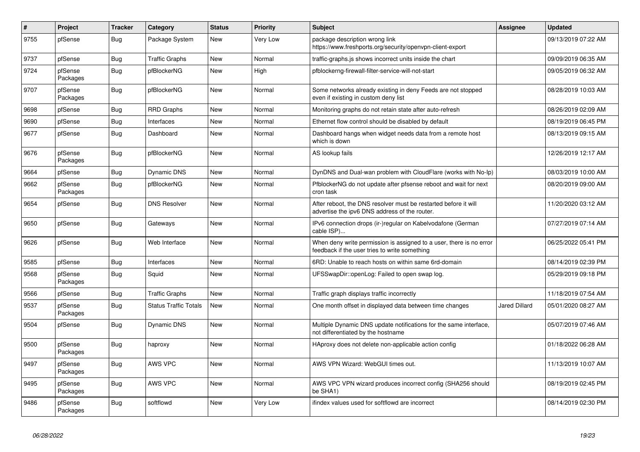| $\sharp$ | Project             | <b>Tracker</b> | Category                     | <b>Status</b> | Priority | <b>Subject</b>                                                                                                       | <b>Assignee</b>      | <b>Updated</b>      |
|----------|---------------------|----------------|------------------------------|---------------|----------|----------------------------------------------------------------------------------------------------------------------|----------------------|---------------------|
| 9755     | pfSense             | Bug            | Package System               | <b>New</b>    | Very Low | package description wrong link<br>https://www.freshports.org/security/openvpn-client-export                          |                      | 09/13/2019 07:22 AM |
| 9737     | pfSense             | Bug            | <b>Traffic Graphs</b>        | New           | Normal   | traffic-graphs is shows incorrect units inside the chart                                                             |                      | 09/09/2019 06:35 AM |
| 9724     | pfSense<br>Packages | <b>Bug</b>     | pfBlockerNG                  | New           | High     | pfblockerng-firewall-filter-service-will-not-start                                                                   |                      | 09/05/2019 06:32 AM |
| 9707     | pfSense<br>Packages | Bug            | pfBlockerNG                  | <b>New</b>    | Normal   | Some networks already existing in deny Feeds are not stopped<br>even if existing in custom deny list                 |                      | 08/28/2019 10:03 AM |
| 9698     | pfSense             | Bug            | <b>RRD Graphs</b>            | <b>New</b>    | Normal   | Monitoring graphs do not retain state after auto-refresh                                                             |                      | 08/26/2019 02:09 AM |
| 9690     | pfSense             | Bug            | Interfaces                   | <b>New</b>    | Normal   | Ethernet flow control should be disabled by default                                                                  |                      | 08/19/2019 06:45 PM |
| 9677     | pfSense             | Bug            | Dashboard                    | <b>New</b>    | Normal   | Dashboard hangs when widget needs data from a remote host<br>which is down                                           |                      | 08/13/2019 09:15 AM |
| 9676     | pfSense<br>Packages | <b>Bug</b>     | pfBlockerNG                  | <b>New</b>    | Normal   | AS lookup fails                                                                                                      |                      | 12/26/2019 12:17 AM |
| 9664     | pfSense             | Bug            | Dynamic DNS                  | New           | Normal   | DynDNS and Dual-wan problem with CloudFlare (works with No-Ip)                                                       |                      | 08/03/2019 10:00 AM |
| 9662     | pfSense<br>Packages | Bug            | pfBlockerNG                  | <b>New</b>    | Normal   | PfblockerNG do not update after pfsense reboot and wait for next<br>cron task                                        |                      | 08/20/2019 09:00 AM |
| 9654     | pfSense             | Bug            | <b>DNS Resolver</b>          | <b>New</b>    | Normal   | After reboot, the DNS resolver must be restarted before it will<br>advertise the ipv6 DNS address of the router.     |                      | 11/20/2020 03:12 AM |
| 9650     | pfSense             | Bug            | Gateways                     | <b>New</b>    | Normal   | IPv6 connection drops (ir-)regular on Kabelvodafone (German<br>cable ISP)                                            |                      | 07/27/2019 07:14 AM |
| 9626     | pfSense             | Bug            | Web Interface                | New           | Normal   | When deny write permission is assigned to a user, there is no error<br>feedback if the user tries to write something |                      | 06/25/2022 05:41 PM |
| 9585     | pfSense             | <b>Bug</b>     | Interfaces                   | New           | Normal   | 6RD: Unable to reach hosts on within same 6rd-domain                                                                 |                      | 08/14/2019 02:39 PM |
| 9568     | pfSense<br>Packages | Bug            | Squid                        | <b>New</b>    | Normal   | UFSSwapDir::openLog: Failed to open swap log.                                                                        |                      | 05/29/2019 09:18 PM |
| 9566     | pfSense             | Bug            | <b>Traffic Graphs</b>        | <b>New</b>    | Normal   | Traffic graph displays traffic incorrectly                                                                           |                      | 11/18/2019 07:54 AM |
| 9537     | pfSense<br>Packages | Bug            | <b>Status Traffic Totals</b> | <b>New</b>    | Normal   | One month offset in displayed data between time changes                                                              | <b>Jared Dillard</b> | 05/01/2020 08:27 AM |
| 9504     | pfSense             | Bug            | <b>Dynamic DNS</b>           | <b>New</b>    | Normal   | Multiple Dynamic DNS update notifications for the same interface,<br>not differentiated by the hostname              |                      | 05/07/2019 07:46 AM |
| 9500     | pfSense<br>Packages | <b>Bug</b>     | haproxy                      | New           | Normal   | HAproxy does not delete non-applicable action config                                                                 |                      | 01/18/2022 06:28 AM |
| 9497     | pfSense<br>Packages | Bug            | AWS VPC                      | <b>New</b>    | Normal   | AWS VPN Wizard: WebGUI times out.                                                                                    |                      | 11/13/2019 10:07 AM |
| 9495     | pfSense<br>Packages | Bug            | AWS VPC                      | <b>New</b>    | Normal   | AWS VPC VPN wizard produces incorrect config (SHA256 should<br>be SHA1)                                              |                      | 08/19/2019 02:45 PM |
| 9486     | pfSense<br>Packages | Bug            | softflowd                    | <b>New</b>    | Very Low | ifindex values used for softflowd are incorrect                                                                      |                      | 08/14/2019 02:30 PM |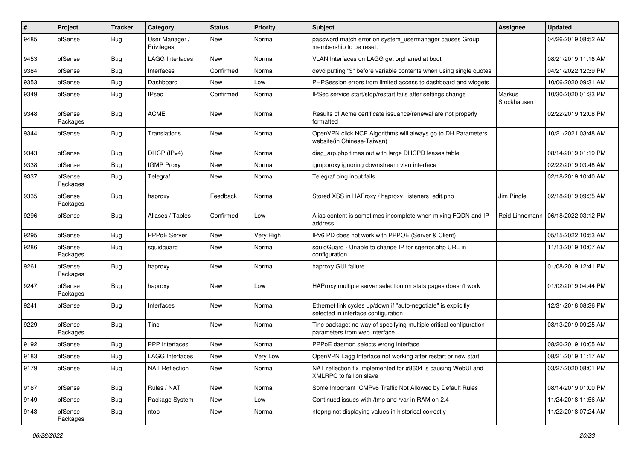| $\sharp$ | Project             | <b>Tracker</b> | Category                     | <b>Status</b> | Priority  | <b>Subject</b>                                                                                        | <b>Assignee</b>       | <b>Updated</b>      |
|----------|---------------------|----------------|------------------------------|---------------|-----------|-------------------------------------------------------------------------------------------------------|-----------------------|---------------------|
| 9485     | pfSense             | Bug            | User Manager /<br>Privileges | New           | Normal    | password match error on system_usermanager causes Group<br>membership to be reset.                    |                       | 04/26/2019 08:52 AM |
| 9453     | pfSense             | Bug            | <b>LAGG Interfaces</b>       | New           | Normal    | VLAN Interfaces on LAGG get orphaned at boot                                                          |                       | 08/21/2019 11:16 AM |
| 9384     | pfSense             | Bug            | Interfaces                   | Confirmed     | Normal    | devd putting "\$" before variable contents when using single quotes                                   |                       | 04/21/2022 12:39 PM |
| 9353     | pfSense             | Bug            | Dashboard                    | <b>New</b>    | Low       | PHPSession errors from limited access to dashboard and widgets                                        |                       | 10/06/2020 09:31 AM |
| 9349     | pfSense             | Bug            | <b>IPsec</b>                 | Confirmed     | Normal    | IPSec service start/stop/restart fails after settings change                                          | Markus<br>Stockhausen | 10/30/2020 01:33 PM |
| 9348     | pfSense<br>Packages | Bug            | <b>ACME</b>                  | <b>New</b>    | Normal    | Results of Acme certificate issuance/renewal are not properly<br>formatted                            |                       | 02/22/2019 12:08 PM |
| 9344     | pfSense             | Bug            | Translations                 | <b>New</b>    | Normal    | OpenVPN click NCP Algorithms will always go to DH Parameters<br>website(in Chinese-Taiwan)            |                       | 10/21/2021 03:48 AM |
| 9343     | pfSense             | Bug            | DHCP (IPv4)                  | <b>New</b>    | Normal    | diag_arp.php times out with large DHCPD leases table                                                  |                       | 08/14/2019 01:19 PM |
| 9338     | pfSense             | Bug            | <b>IGMP Proxy</b>            | <b>New</b>    | Normal    | igmpproxy ignoring downstream vlan interface                                                          |                       | 02/22/2019 03:48 AM |
| 9337     | pfSense<br>Packages | Bug            | Telegraf                     | <b>New</b>    | Normal    | Telegraf ping input fails                                                                             |                       | 02/18/2019 10:40 AM |
| 9335     | pfSense<br>Packages | Bug            | haproxy                      | Feedback      | Normal    | Stored XSS in HAProxy / haproxy listeners edit.php                                                    | Jim Pingle            | 02/18/2019 09:35 AM |
| 9296     | pfSense             | Bug            | Aliases / Tables             | Confirmed     | Low       | Alias content is sometimes incomplete when mixing FQDN and IP<br>address                              | Reid Linnemann        | 06/18/2022 03:12 PM |
| 9295     | pfSense             | Bug            | PPPoE Server                 | <b>New</b>    | Very High | IPv6 PD does not work with PPPOE (Server & Client)                                                    |                       | 05/15/2022 10:53 AM |
| 9286     | pfSense<br>Packages | Bug            | squidguard                   | New           | Normal    | squidGuard - Unable to change IP for sgerror.php URL in<br>configuration                              |                       | 11/13/2019 10:07 AM |
| 9261     | pfSense<br>Packages | Bug            | haproxy                      | <b>New</b>    | Normal    | haproxy GUI failure                                                                                   |                       | 01/08/2019 12:41 PM |
| 9247     | pfSense<br>Packages | Bug            | haproxy                      | New           | Low       | HAProxy multiple server selection on stats pages doesn't work                                         |                       | 01/02/2019 04:44 PM |
| 9241     | pfSense             | <b>Bug</b>     | Interfaces                   | <b>New</b>    | Normal    | Ethernet link cycles up/down if "auto-negotiate" is explicitly<br>selected in interface configuration |                       | 12/31/2018 08:36 PM |
| 9229     | pfSense<br>Packages | Bug            | Tinc                         | <b>New</b>    | Normal    | Tinc package: no way of specifying multiple critical configuration<br>parameters from web interface   |                       | 08/13/2019 09:25 AM |
| 9192     | pfSense             | Bug            | <b>PPP</b> Interfaces        | <b>New</b>    | Normal    | PPPoE daemon selects wrong interface                                                                  |                       | 08/20/2019 10:05 AM |
| 9183     | pfSense             | Bug            | <b>LAGG Interfaces</b>       | New           | Very Low  | OpenVPN Lagg Interface not working after restart or new start                                         |                       | 08/21/2019 11:17 AM |
| 9179     | pfSense             | <b>Bug</b>     | <b>NAT Reflection</b>        | New           | Normal    | NAT reflection fix implemented for #8604 is causing WebUI and<br>XMLRPC to fail on slave              |                       | 03/27/2020 08:01 PM |
| 9167     | pfSense             | <b>Bug</b>     | Rules / NAT                  | New           | Normal    | Some Important ICMPv6 Traffic Not Allowed by Default Rules                                            |                       | 08/14/2019 01:00 PM |
| 9149     | pfSense             | Bug            | Package System               | New           | Low       | Continued issues with /tmp and /var in RAM on 2.4                                                     |                       | 11/24/2018 11:56 AM |
| 9143     | pfSense<br>Packages | Bug            | ntop                         | New           | Normal    | ntopng not displaying values in historical correctly                                                  |                       | 11/22/2018 07:24 AM |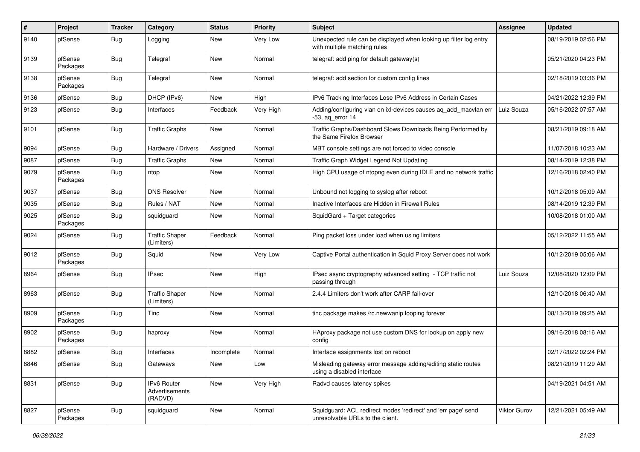| $\#$ | Project             | <b>Tracker</b> | Category                                 | <b>Status</b> | <b>Priority</b> | Subject                                                                                           | <b>Assignee</b> | <b>Updated</b>      |
|------|---------------------|----------------|------------------------------------------|---------------|-----------------|---------------------------------------------------------------------------------------------------|-----------------|---------------------|
| 9140 | pfSense             | Bug            | Logging                                  | New           | Very Low        | Unexpected rule can be displayed when looking up filter log entry<br>with multiple matching rules |                 | 08/19/2019 02:56 PM |
| 9139 | pfSense<br>Packages | Bug            | Telegraf                                 | New           | Normal          | telegraf: add ping for default gateway(s)                                                         |                 | 05/21/2020 04:23 PM |
| 9138 | pfSense<br>Packages | Bug            | Telegraf                                 | New           | Normal          | telegraf: add section for custom config lines                                                     |                 | 02/18/2019 03:36 PM |
| 9136 | pfSense             | <b>Bug</b>     | DHCP (IPv6)                              | New           | High            | IPv6 Tracking Interfaces Lose IPv6 Address in Certain Cases                                       |                 | 04/21/2022 12:39 PM |
| 9123 | pfSense             | Bug            | Interfaces                               | Feedback      | Very High       | Adding/configuring vlan on ixl-devices causes aq_add_macvlan err<br>$-53$ , aq error 14           | Luiz Souza      | 05/16/2022 07:57 AM |
| 9101 | pfSense             | <b>Bug</b>     | <b>Traffic Graphs</b>                    | New           | Normal          | Traffic Graphs/Dashboard Slows Downloads Being Performed by<br>the Same Firefox Browser           |                 | 08/21/2019 09:18 AM |
| 9094 | pfSense             | Bug            | Hardware / Drivers                       | Assigned      | Normal          | MBT console settings are not forced to video console                                              |                 | 11/07/2018 10:23 AM |
| 9087 | pfSense             | <b>Bug</b>     | <b>Traffic Graphs</b>                    | New           | Normal          | Traffic Graph Widget Legend Not Updating                                                          |                 | 08/14/2019 12:38 PM |
| 9079 | pfSense<br>Packages | Bug            | ntop                                     | New           | Normal          | High CPU usage of ntopng even during IDLE and no network traffic                                  |                 | 12/16/2018 02:40 PM |
| 9037 | pfSense             | Bug            | <b>DNS Resolver</b>                      | <b>New</b>    | Normal          | Unbound not logging to syslog after reboot                                                        |                 | 10/12/2018 05:09 AM |
| 9035 | pfSense             | <b>Bug</b>     | Rules / NAT                              | New           | Normal          | Inactive Interfaces are Hidden in Firewall Rules                                                  |                 | 08/14/2019 12:39 PM |
| 9025 | pfSense<br>Packages | Bug            | squidguard                               | New           | Normal          | SquidGard + Target categories                                                                     |                 | 10/08/2018 01:00 AM |
| 9024 | pfSense             | Bug            | <b>Traffic Shaper</b><br>(Limiters)      | Feedback      | Normal          | Ping packet loss under load when using limiters                                                   |                 | 05/12/2022 11:55 AM |
| 9012 | pfSense<br>Packages | Bug            | Squid                                    | New           | Very Low        | Captive Portal authentication in Squid Proxy Server does not work                                 |                 | 10/12/2019 05:06 AM |
| 8964 | pfSense             | Bug            | <b>IPsec</b>                             | <b>New</b>    | High            | IPsec async cryptography advanced setting - TCP traffic not<br>passing through                    | Luiz Souza      | 12/08/2020 12:09 PM |
| 8963 | pfSense             | <b>Bug</b>     | <b>Traffic Shaper</b><br>(Limiters)      | New           | Normal          | 2.4.4 Limiters don't work after CARP fail-over                                                    |                 | 12/10/2018 06:40 AM |
| 8909 | pfSense<br>Packages | <b>Bug</b>     | Tinc                                     | New           | Normal          | tinc package makes /rc.newwanip looping forever                                                   |                 | 08/13/2019 09:25 AM |
| 8902 | pfSense<br>Packages | Bug            | haproxy                                  | <b>New</b>    | Normal          | HAproxy package not use custom DNS for lookup on apply new<br>config                              |                 | 09/16/2018 08:16 AM |
| 8882 | pfSense             | Bug            | Interfaces                               | Incomplete    | Normal          | Interface assignments lost on reboot                                                              |                 | 02/17/2022 02:24 PM |
| 8846 | pfSense             | Bug            | Gateways                                 | New           | Low             | Misleading gateway error message adding/editing static routes<br>using a disabled interface       |                 | 08/21/2019 11:29 AM |
| 8831 | pfSense             | Bug            | IPv6 Router<br>Advertisements<br>(RADVD) | New           | Very High       | Radvd causes latency spikes                                                                       |                 | 04/19/2021 04:51 AM |
| 8827 | pfSense<br>Packages | <b>Bug</b>     | squidguard                               | New           | Normal          | Squidguard: ACL redirect modes 'redirect' and 'err page' send<br>unresolvable URLs to the client. | Viktor Gurov    | 12/21/2021 05:49 AM |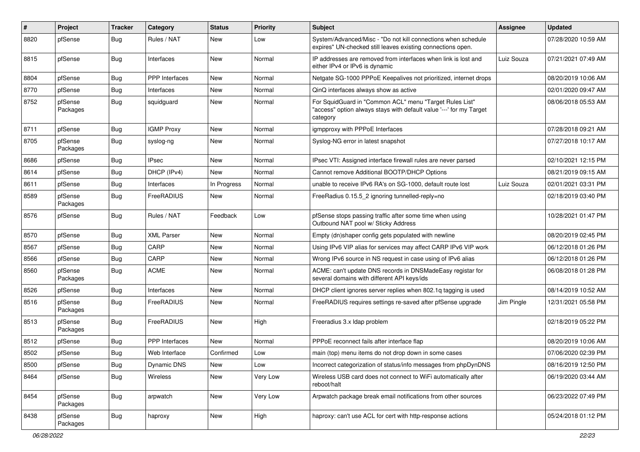| #    | Project             | <b>Tracker</b> | Category          | <b>Status</b> | Priority | Subject                                                                                                                                    | Assignee   | <b>Updated</b>      |
|------|---------------------|----------------|-------------------|---------------|----------|--------------------------------------------------------------------------------------------------------------------------------------------|------------|---------------------|
| 8820 | pfSense             | Bug            | Rules / NAT       | New           | Low      | System/Advanced/Misc - "Do not kill connections when schedule<br>expires" UN-checked still leaves existing connections open.               |            | 07/28/2020 10:59 AM |
| 8815 | pfSense             | Bug            | Interfaces        | New           | Normal   | IP addresses are removed from interfaces when link is lost and<br>either IPv4 or IPv6 is dynamic                                           | Luiz Souza | 07/21/2021 07:49 AM |
| 8804 | pfSense             | Bug            | PPP Interfaces    | <b>New</b>    | Normal   | Netgate SG-1000 PPPoE Keepalives not prioritized, internet drops                                                                           |            | 08/20/2019 10:06 AM |
| 8770 | pfSense             | Bug            | Interfaces        | New           | Normal   | QinQ interfaces always show as active                                                                                                      |            | 02/01/2020 09:47 AM |
| 8752 | pfSense<br>Packages | Bug            | squidguard        | New           | Normal   | For SquidGuard in "Common ACL" menu "Target Rules List"<br>"access" option always stays with default value '---' for my Target<br>category |            | 08/06/2018 05:53 AM |
| 8711 | pfSense             | Bug            | <b>IGMP Proxy</b> | New           | Normal   | igmpproxy with PPPoE Interfaces                                                                                                            |            | 07/28/2018 09:21 AM |
| 8705 | pfSense<br>Packages | Bug            | syslog-ng         | New           | Normal   | Syslog-NG error in latest snapshot                                                                                                         |            | 07/27/2018 10:17 AM |
| 8686 | pfSense             | <b>Bug</b>     | <b>IPsec</b>      | <b>New</b>    | Normal   | IPsec VTI: Assigned interface firewall rules are never parsed                                                                              |            | 02/10/2021 12:15 PM |
| 8614 | pfSense             | Bug            | DHCP (IPv4)       | New           | Normal   | Cannot remove Additional BOOTP/DHCP Options                                                                                                |            | 08/21/2019 09:15 AM |
| 8611 | pfSense             | <b>Bug</b>     | Interfaces        | In Progress   | Normal   | unable to receive IPv6 RA's on SG-1000, default route lost                                                                                 | Luiz Souza | 02/01/2021 03:31 PM |
| 8589 | pfSense<br>Packages | Bug            | FreeRADIUS        | <b>New</b>    | Normal   | FreeRadius 0.15.5_2 ignoring tunnelled-reply=no                                                                                            |            | 02/18/2019 03:40 PM |
| 8576 | pfSense             | Bug            | Rules / NAT       | Feedback      | Low      | pfSense stops passing traffic after some time when using<br>Outbound NAT pool w/ Sticky Address                                            |            | 10/28/2021 01:47 PM |
| 8570 | pfSense             | Bug            | <b>XML Parser</b> | New           | Normal   | Empty (dn)shaper config gets populated with newline                                                                                        |            | 08/20/2019 02:45 PM |
| 8567 | pfSense             | <b>Bug</b>     | CARP              | New           | Normal   | Using IPv6 VIP alias for services may affect CARP IPv6 VIP work                                                                            |            | 06/12/2018 01:26 PM |
| 8566 | pfSense             | Bug            | CARP              | New           | Normal   | Wrong IPv6 source in NS request in case using of IPv6 alias                                                                                |            | 06/12/2018 01:26 PM |
| 8560 | pfSense<br>Packages | <b>Bug</b>     | <b>ACME</b>       | New           | Normal   | ACME: can't update DNS records in DNSMadeEasy registar for<br>several domains with different API keys/ids                                  |            | 06/08/2018 01:28 PM |
| 8526 | pfSense             | Bug            | Interfaces        | New           | Normal   | DHCP client ignores server replies when 802.1q tagging is used                                                                             |            | 08/14/2019 10:52 AM |
| 8516 | pfSense<br>Packages | Bug            | FreeRADIUS        | New           | Normal   | FreeRADIUS requires settings re-saved after pfSense upgrade                                                                                | Jim Pingle | 12/31/2021 05:58 PM |
| 8513 | pfSense<br>Packages | Bug            | FreeRADIUS        | New           | High     | Freeradius 3.x Idap problem                                                                                                                |            | 02/18/2019 05:22 PM |
| 8512 | pfSense             | <b>Bug</b>     | PPP Interfaces    | New           | Normal   | PPPoE reconnect fails after interface flap                                                                                                 |            | 08/20/2019 10:06 AM |
| 8502 | pfSense             | <b>Bug</b>     | Web Interface     | Confirmed     | Low      | main (top) menu items do not drop down in some cases                                                                                       |            | 07/06/2020 02:39 PM |
| 8500 | pfSense             | Bug            | Dynamic DNS       | New           | Low      | Incorrect categorization of status/info messages from phpDynDNS                                                                            |            | 08/16/2019 12:50 PM |
| 8464 | pfSense             | <b>Bug</b>     | Wireless          | New           | Very Low | Wireless USB card does not connect to WiFi automatically after<br>reboot/halt                                                              |            | 06/19/2020 03:44 AM |
| 8454 | pfSense<br>Packages | Bug            | arpwatch          | New           | Very Low | Arpwatch package break email notifications from other sources                                                                              |            | 06/23/2022 07:49 PM |
| 8438 | pfSense<br>Packages | <b>Bug</b>     | haproxy           | New           | High     | haproxy: can't use ACL for cert with http-response actions                                                                                 |            | 05/24/2018 01:12 PM |